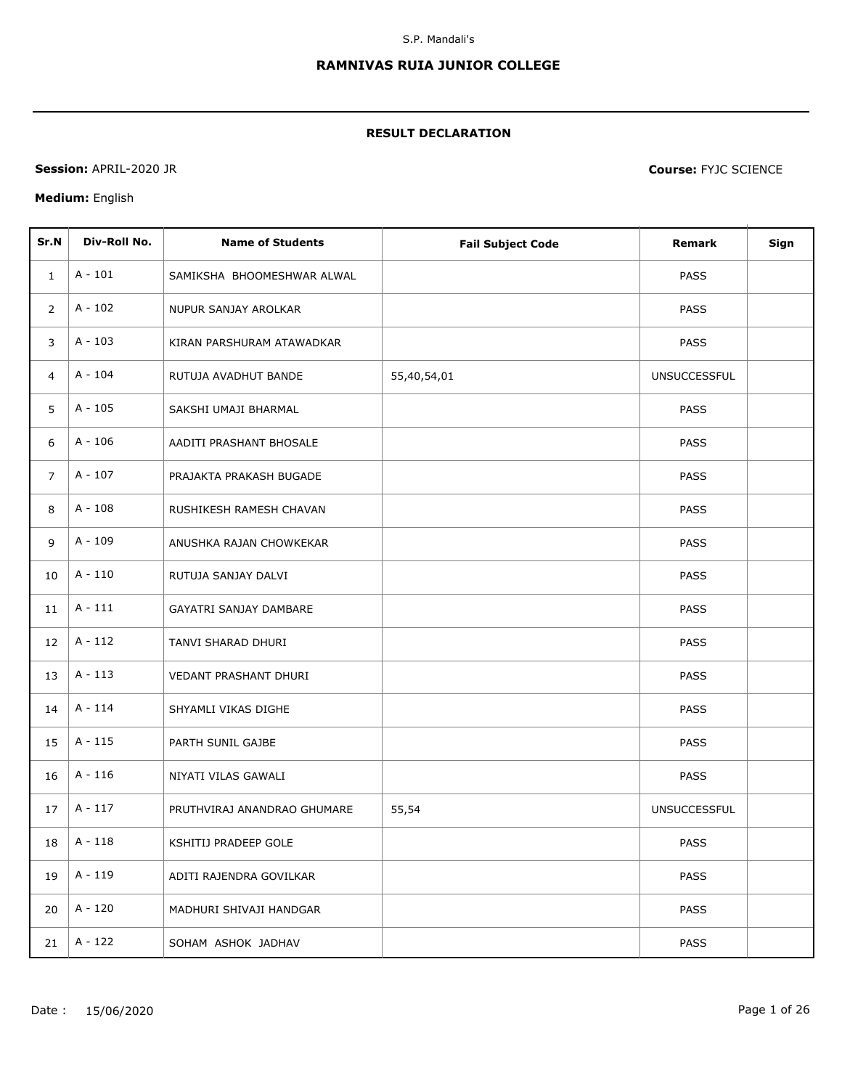## **RAMNIVAS RUIA JUNIOR COLLEGE**

## **RESULT DECLARATION**

**Session:** APRIL-2020 JR **Course:** FYJC SCIENCE

## **Medium:** English

| Sr.N           | Div-Roll No. | <b>Name of Students</b>       | <b>Fail Subject Code</b> | Remark              | Sign |
|----------------|--------------|-------------------------------|--------------------------|---------------------|------|
| 1              | $A - 101$    | SAMIKSHA BHOOMESHWAR ALWAL    |                          | <b>PASS</b>         |      |
| $\overline{2}$ | $A - 102$    | NUPUR SANJAY AROLKAR          |                          | <b>PASS</b>         |      |
| 3              | $A - 103$    | KIRAN PARSHURAM ATAWADKAR     |                          | <b>PASS</b>         |      |
| $\overline{4}$ | A - 104      | RUTUJA AVADHUT BANDE          | 55,40,54,01              | <b>UNSUCCESSFUL</b> |      |
| 5              | $A - 105$    | SAKSHI UMAJI BHARMAL          |                          | <b>PASS</b>         |      |
| 6              | $A - 106$    | AADITI PRASHANT BHOSALE       |                          | <b>PASS</b>         |      |
| $\overline{7}$ | $A - 107$    | PRAJAKTA PRAKASH BUGADE       |                          | <b>PASS</b>         |      |
| 8              | $A - 108$    | RUSHIKESH RAMESH CHAVAN       |                          | <b>PASS</b>         |      |
| 9              | A - 109      | ANUSHKA RAJAN CHOWKEKAR       |                          | <b>PASS</b>         |      |
| 10             | $A - 110$    | RUTUJA SANJAY DALVI           |                          | <b>PASS</b>         |      |
| 11             | $A - 111$    | <b>GAYATRI SANJAY DAMBARE</b> |                          | PASS                |      |
| 12             | $A - 112$    | TANVI SHARAD DHURI            |                          | PASS                |      |
| 13             | $A - 113$    | VEDANT PRASHANT DHURI         |                          | <b>PASS</b>         |      |
| 14             | $A - 114$    | SHYAMLI VIKAS DIGHE           |                          | <b>PASS</b>         |      |
| 15             | $A - 115$    | PARTH SUNIL GAJBE             |                          | <b>PASS</b>         |      |
| 16             | $A - 116$    | NIYATI VILAS GAWALI           |                          | PASS                |      |
| 17             | $A - 117$    | PRUTHVIRAJ ANANDRAO GHUMARE   | 55,54                    | <b>UNSUCCESSFUL</b> |      |
| 18             | A - 118      | KSHITIJ PRADEEP GOLE          |                          | <b>PASS</b>         |      |
| 19             | A - 119      | ADITI RAJENDRA GOVILKAR       |                          | <b>PASS</b>         |      |
| 20             | A - 120      | MADHURI SHIVAJI HANDGAR       |                          | <b>PASS</b>         |      |
| 21             | A - 122      | SOHAM ASHOK JADHAV            |                          | PASS                |      |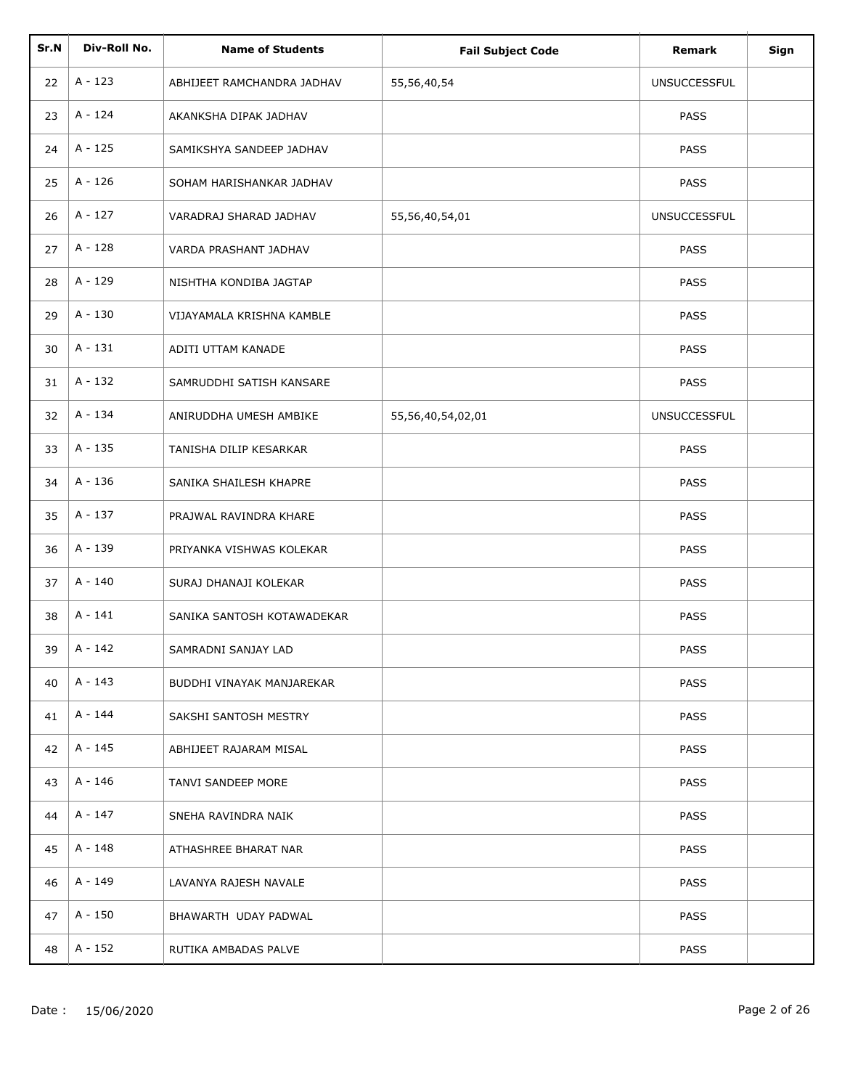| Sr.N | Div-Roll No. | <b>Name of Students</b>    | <b>Fail Subject Code</b> | Remark              | Sign |
|------|--------------|----------------------------|--------------------------|---------------------|------|
| 22   | $A - 123$    | ABHIJEET RAMCHANDRA JADHAV | 55,56,40,54              | <b>UNSUCCESSFUL</b> |      |
| 23   | A - 124      | AKANKSHA DIPAK JADHAV      |                          | PASS                |      |
| 24   | A - 125      | SAMIKSHYA SANDEEP JADHAV   |                          | PASS                |      |
| 25   | A - 126      | SOHAM HARISHANKAR JADHAV   |                          | PASS                |      |
| 26   | A - 127      | VARADRAJ SHARAD JADHAV     | 55,56,40,54,01           | <b>UNSUCCESSFUL</b> |      |
| 27   | A - 128      | VARDA PRASHANT JADHAV      |                          | <b>PASS</b>         |      |
| 28   | A - 129      | NISHTHA KONDIBA JAGTAP     |                          | <b>PASS</b>         |      |
| 29   | A - 130      | VIJAYAMALA KRISHNA KAMBLE  |                          | PASS                |      |
| 30   | $A - 131$    | ADITI UTTAM KANADE         |                          | PASS                |      |
| 31   | A - 132      | SAMRUDDHI SATISH KANSARE   |                          | PASS                |      |
| 32   | A - 134      | ANIRUDDHA UMESH AMBIKE     | 55,56,40,54,02,01        | <b>UNSUCCESSFUL</b> |      |
| 33   | A - 135      | TANISHA DILIP KESARKAR     |                          | <b>PASS</b>         |      |
| 34   | A - 136      | SANIKA SHAILESH KHAPRE     |                          | <b>PASS</b>         |      |
| 35   | A - 137      | PRAJWAL RAVINDRA KHARE     |                          | PASS                |      |
| 36   | A - 139      | PRIYANKA VISHWAS KOLEKAR   |                          | PASS                |      |
| 37   | A - 140      | SURAJ DHANAJI KOLEKAR      |                          | PASS                |      |
| 38   | $A - 141$    | SANIKA SANTOSH KOTAWADEKAR |                          | PASS                |      |
| 39   | $A - 142$    | SAMRADNI SANJAY LAD        |                          | PASS                |      |
| 40   | A - 143      | BUDDHI VINAYAK MANJAREKAR  |                          | <b>PASS</b>         |      |
| 41   | A - 144      | SAKSHI SANTOSH MESTRY      |                          | <b>PASS</b>         |      |
| 42   | A - 145      | ABHIJEET RAJARAM MISAL     |                          | <b>PASS</b>         |      |
| 43   | A - 146      | TANVI SANDEEP MORE         |                          | PASS                |      |
| 44   | A - 147      | SNEHA RAVINDRA NAIK        |                          | <b>PASS</b>         |      |
| 45   | A - 148      | ATHASHREE BHARAT NAR       |                          | PASS                |      |
| 46   | A - 149      | LAVANYA RAJESH NAVALE      |                          | <b>PASS</b>         |      |
| 47   | A - 150      | BHAWARTH UDAY PADWAL       |                          | <b>PASS</b>         |      |
| 48   | A - 152      | RUTIKA AMBADAS PALVE       |                          | PASS                |      |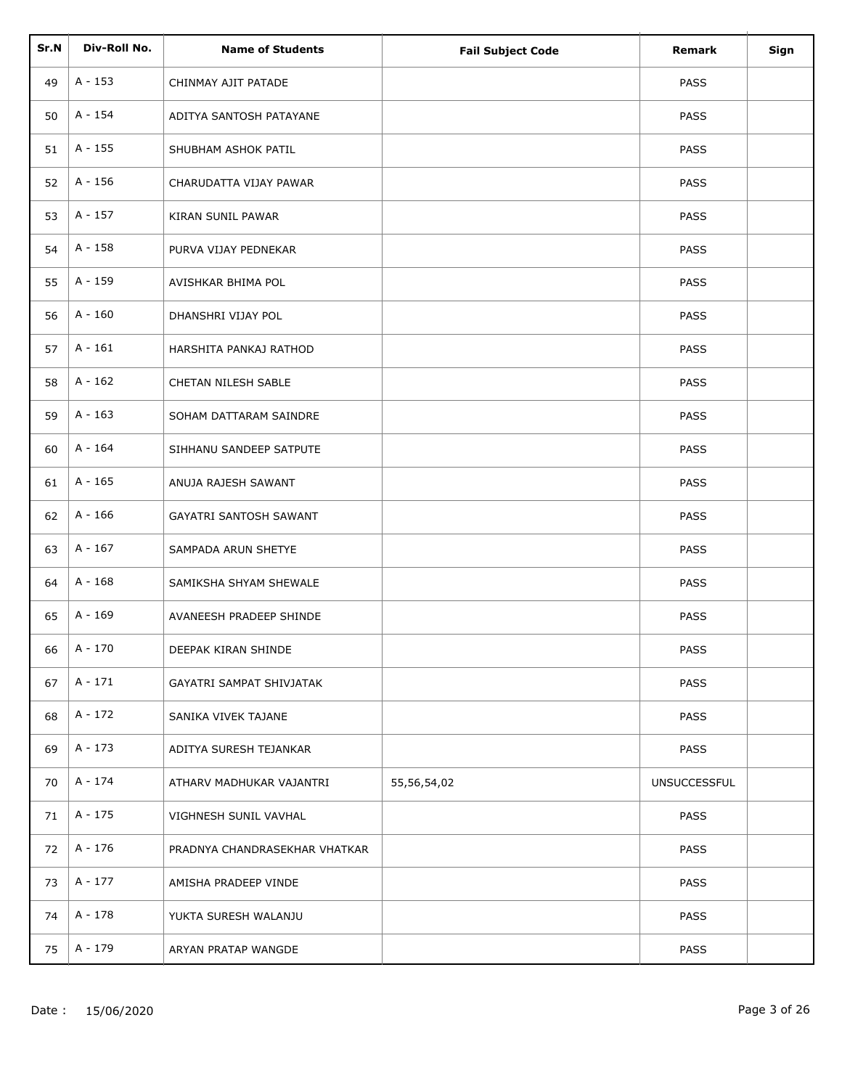| Sr.N | Div-Roll No. | <b>Name of Students</b>       | <b>Fail Subject Code</b> | Remark              | Sign |
|------|--------------|-------------------------------|--------------------------|---------------------|------|
| 49   | A - 153      | CHINMAY AJIT PATADE           |                          | <b>PASS</b>         |      |
| 50   | A - 154      | ADITYA SANTOSH PATAYANE       |                          | <b>PASS</b>         |      |
| 51   | A - 155      | SHUBHAM ASHOK PATIL           |                          | <b>PASS</b>         |      |
| 52   | A - 156      | CHARUDATTA VIJAY PAWAR        |                          | <b>PASS</b>         |      |
| 53   | A - 157      | KIRAN SUNIL PAWAR             |                          | <b>PASS</b>         |      |
| 54   | A - 158      | PURVA VIJAY PEDNEKAR          |                          | <b>PASS</b>         |      |
| 55   | A - 159      | AVISHKAR BHIMA POL            |                          | <b>PASS</b>         |      |
| 56   | $A - 160$    | DHANSHRI VIJAY POL            |                          | PASS                |      |
| 57   | $A - 161$    | HARSHITA PANKAJ RATHOD        |                          | <b>PASS</b>         |      |
| 58   | $A - 162$    | CHETAN NILESH SABLE           |                          | PASS                |      |
| 59   | $A - 163$    | SOHAM DATTARAM SAINDRE        |                          | <b>PASS</b>         |      |
| 60   | A - 164      | SIHHANU SANDEEP SATPUTE       |                          | <b>PASS</b>         |      |
| 61   | A - 165      | ANUJA RAJESH SAWANT           |                          | <b>PASS</b>         |      |
| 62   | A - 166      | GAYATRI SANTOSH SAWANT        |                          | PASS                |      |
| 63   | A - 167      | SAMPADA ARUN SHETYE           |                          | PASS                |      |
| 64   | $A - 168$    | SAMIKSHA SHYAM SHEWALE        |                          | PASS                |      |
| 65   | $A - 169$    | AVANEESH PRADEEP SHINDE       |                          | <b>PASS</b>         |      |
| 66   | A - 170      | DEEPAK KIRAN SHINDE           |                          | PASS                |      |
| 67   | $A - 171$    | GAYATRI SAMPAT SHIVJATAK      |                          | <b>PASS</b>         |      |
| 68   | A - 172      | SANIKA VIVEK TAJANE           |                          | <b>PASS</b>         |      |
| 69   | A - 173      | ADITYA SURESH TEJANKAR        |                          | <b>PASS</b>         |      |
| 70   | A - 174      | ATHARV MADHUKAR VAJANTRI      | 55,56,54,02              | <b>UNSUCCESSFUL</b> |      |
| 71   | A - 175      | VIGHNESH SUNIL VAVHAL         |                          | <b>PASS</b>         |      |
| 72   | A - 176      | PRADNYA CHANDRASEKHAR VHATKAR |                          | <b>PASS</b>         |      |
| 73   | A - 177      | AMISHA PRADEEP VINDE          |                          | <b>PASS</b>         |      |
| 74   | A - 178      | YUKTA SURESH WALANJU          |                          | <b>PASS</b>         |      |
| 75   | A - 179      | ARYAN PRATAP WANGDE           |                          | <b>PASS</b>         |      |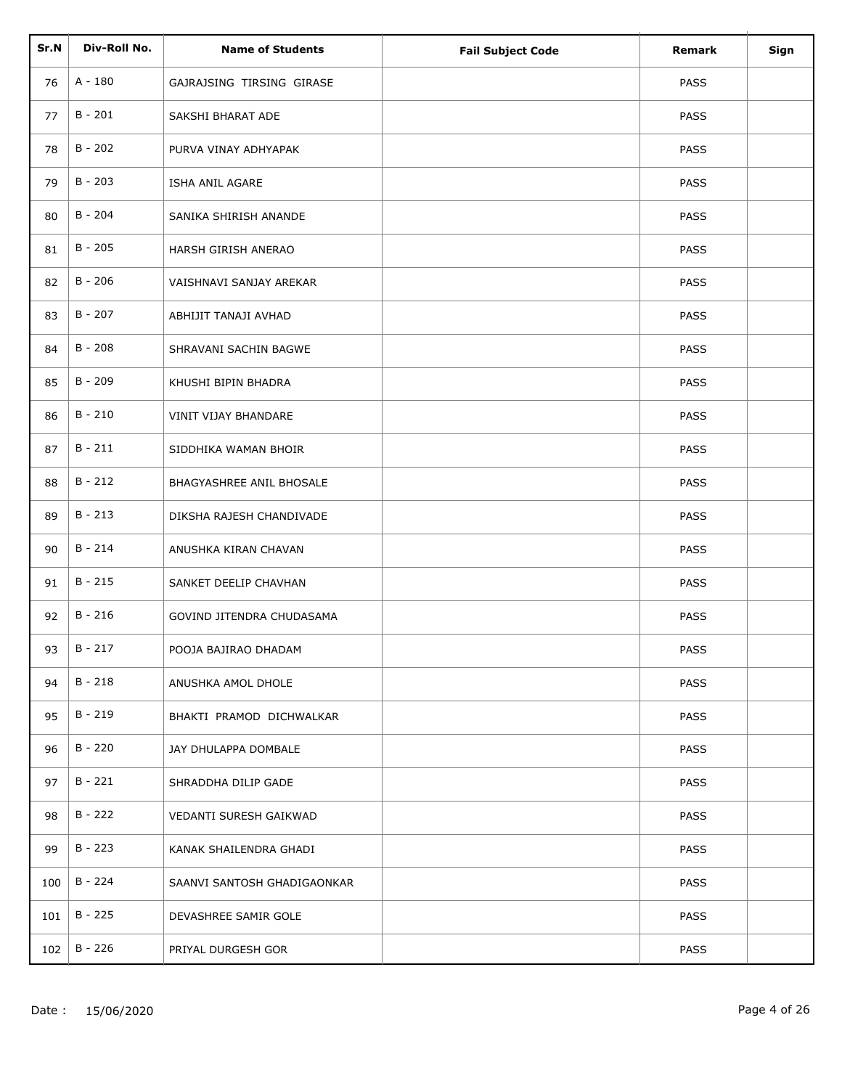| Sr.N | Div-Roll No. |                             |                          |             |      |
|------|--------------|-----------------------------|--------------------------|-------------|------|
|      |              | <b>Name of Students</b>     | <b>Fail Subject Code</b> | Remark      | Sign |
| 76   | A - 180      | GAJRAJSING TIRSING GIRASE   |                          | <b>PASS</b> |      |
| 77   | $B - 201$    | SAKSHI BHARAT ADE           |                          | <b>PASS</b> |      |
| 78   | $B - 202$    | PURVA VINAY ADHYAPAK        |                          | <b>PASS</b> |      |
| 79   | $B - 203$    | ISHA ANIL AGARE             |                          | <b>PASS</b> |      |
| 80   | $B - 204$    | SANIKA SHIRISH ANANDE       |                          | <b>PASS</b> |      |
| 81   | $B - 205$    | HARSH GIRISH ANERAO         |                          | <b>PASS</b> |      |
| 82   | $B - 206$    | VAISHNAVI SANJAY AREKAR     |                          | <b>PASS</b> |      |
| 83   | $B - 207$    | ABHIJIT TANAJI AVHAD        |                          | <b>PASS</b> |      |
| 84   | $B - 208$    | SHRAVANI SACHIN BAGWE       |                          | PASS        |      |
| 85   | $B - 209$    | KHUSHI BIPIN BHADRA         |                          | PASS        |      |
| 86   | $B - 210$    | VINIT VIJAY BHANDARE        |                          | <b>PASS</b> |      |
| 87   | $B - 211$    | SIDDHIKA WAMAN BHOIR        |                          | <b>PASS</b> |      |
| 88   | $B - 212$    | BHAGYASHREE ANIL BHOSALE    |                          | <b>PASS</b> |      |
| 89   | $B - 213$    | DIKSHA RAJESH CHANDIVADE    |                          | PASS        |      |
| 90   | $B - 214$    | ANUSHKA KIRAN CHAVAN        |                          | PASS        |      |
| 91   | $B - 215$    | SANKET DEELIP CHAVHAN       |                          | PASS        |      |
| 92   | $B - 216$    | GOVIND JITENDRA CHUDASAMA   |                          | <b>PASS</b> |      |
| 93   | $B - 217$    | POOJA BAJIRAO DHADAM        |                          | PASS        |      |
| 94   | $B - 218$    | ANUSHKA AMOL DHOLE          |                          | <b>PASS</b> |      |
| 95   | B - 219      | BHAKTI PRAMOD DICHWALKAR    |                          | <b>PASS</b> |      |
| 96   | $B - 220$    | JAY DHULAPPA DOMBALE        |                          | <b>PASS</b> |      |
| 97   | B - 221      | SHRADDHA DILIP GADE         |                          | <b>PASS</b> |      |
| 98   | $B - 222$    | VEDANTI SURESH GAIKWAD      |                          | <b>PASS</b> |      |
| 99   | $B - 223$    | KANAK SHAILENDRA GHADI      |                          | <b>PASS</b> |      |
| 100  | $B - 224$    | SAANVI SANTOSH GHADIGAONKAR |                          | <b>PASS</b> |      |
| 101  | $B - 225$    | DEVASHREE SAMIR GOLE        |                          | <b>PASS</b> |      |
| 102  | $B - 226$    | PRIYAL DURGESH GOR          |                          | PASS        |      |
|      |              |                             |                          |             |      |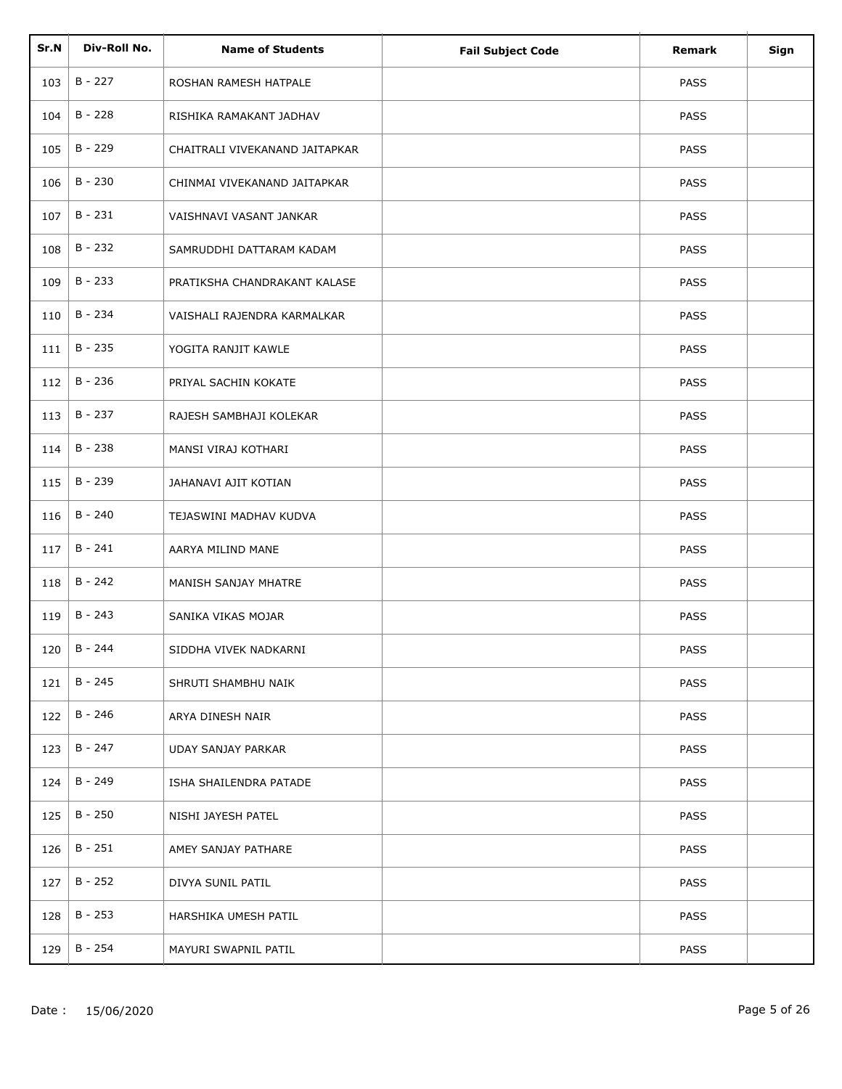| Sr.N | Div-Roll No. | <b>Name of Students</b>        |                          | Remark      | Sign |
|------|--------------|--------------------------------|--------------------------|-------------|------|
|      |              |                                | <b>Fail Subject Code</b> |             |      |
| 103  | $B - 227$    | ROSHAN RAMESH HATPALE          |                          | <b>PASS</b> |      |
| 104  | $B - 228$    | RISHIKA RAMAKANT JADHAV        |                          | <b>PASS</b> |      |
| 105  | $B - 229$    | CHAITRALI VIVEKANAND JAITAPKAR |                          | <b>PASS</b> |      |
| 106  | $B - 230$    | CHINMAI VIVEKANAND JAITAPKAR   |                          | PASS        |      |
| 107  | $B - 231$    | VAISHNAVI VASANT JANKAR        |                          | <b>PASS</b> |      |
| 108  | $B - 232$    | SAMRUDDHI DATTARAM KADAM       |                          | <b>PASS</b> |      |
| 109  | $B - 233$    | PRATIKSHA CHANDRAKANT KALASE   |                          | PASS        |      |
| 110  | B - 234      | VAISHALI RAJENDRA KARMALKAR    |                          | PASS        |      |
| 111  | $B - 235$    | YOGITA RANJIT KAWLE            |                          | PASS        |      |
| 112  | B - 236      | PRIYAL SACHIN KOKATE           |                          | PASS        |      |
| 113  | B - 237      | RAJESH SAMBHAJI KOLEKAR        |                          | <b>PASS</b> |      |
| 114  | $B - 238$    | MANSI VIRAJ KOTHARI            |                          | PASS        |      |
| 115  | B - 239      | JAHANAVI AJIT KOTIAN           |                          | PASS        |      |
| 116  | $B - 240$    | TEJASWINI MADHAV KUDVA         |                          | PASS        |      |
| 117  | $B - 241$    | AARYA MILIND MANE              |                          | PASS        |      |
| 118  | $B - 242$    | MANISH SANJAY MHATRE           |                          | PASS        |      |
| 119  | $B - 243$    | SANIKA VIKAS MOJAR             |                          | PASS        |      |
| 120  | $B - 244$    | SIDDHA VIVEK NADKARNI          |                          | PASS        |      |
| 121  | $B - 245$    | SHRUTI SHAMBHU NAIK            |                          | <b>PASS</b> |      |
| 122  | B - 246      | ARYA DINESH NAIR               |                          | <b>PASS</b> |      |
| 123  | $B - 247$    | UDAY SANJAY PARKAR             |                          | <b>PASS</b> |      |
| 124  | B - 249      | ISHA SHAILENDRA PATADE         |                          | <b>PASS</b> |      |
| 125  | $B - 250$    | NISHI JAYESH PATEL             |                          | PASS        |      |
| 126  | B - 251      | AMEY SANJAY PATHARE            |                          | <b>PASS</b> |      |
| 127  | $B - 252$    | DIVYA SUNIL PATIL              |                          | <b>PASS</b> |      |
| 128  | B - 253      | HARSHIKA UMESH PATIL           |                          | <b>PASS</b> |      |
| 129  | B - 254      | MAYURI SWAPNIL PATIL           |                          | PASS        |      |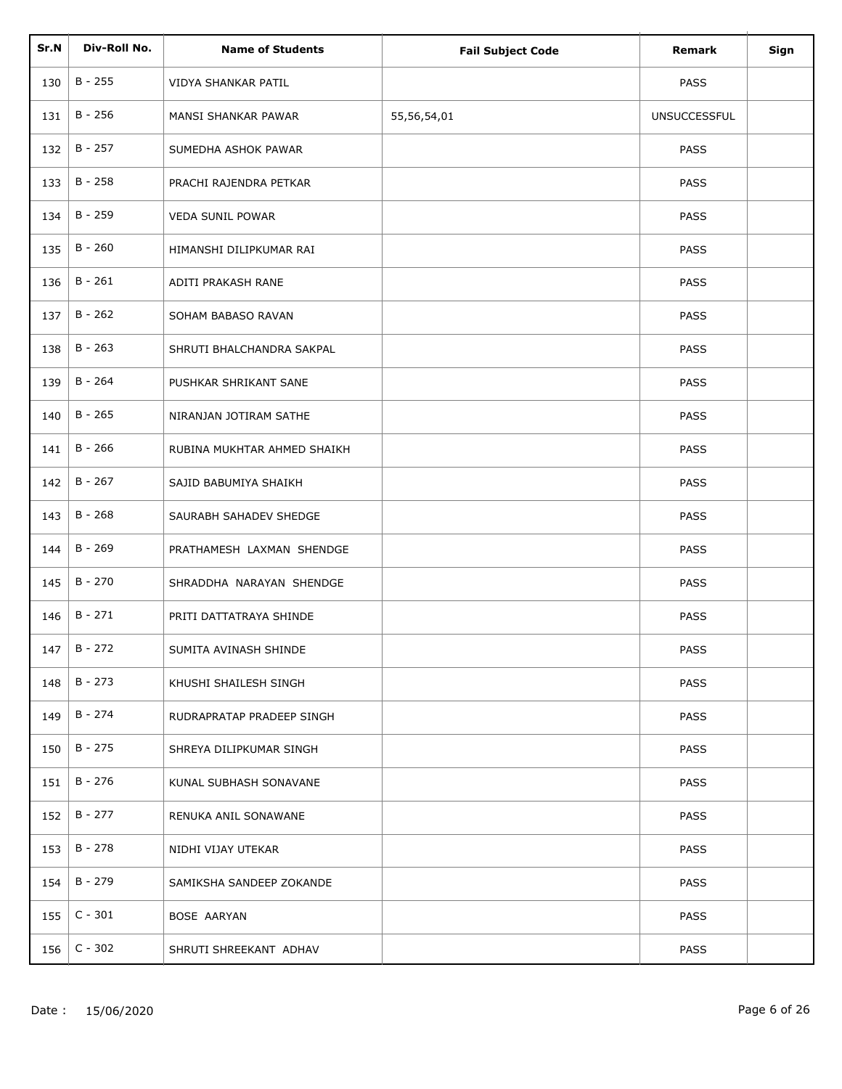| Sr.N | Div-Roll No. | <b>Name of Students</b>     | <b>Fail Subject Code</b> | Remark              | Sign |
|------|--------------|-----------------------------|--------------------------|---------------------|------|
| 130  | $B - 255$    | VIDYA SHANKAR PATIL         |                          | PASS                |      |
| 131  | B - 256      | MANSI SHANKAR PAWAR         | 55,56,54,01              | <b>UNSUCCESSFUL</b> |      |
| 132  | $B - 257$    | SUMEDHA ASHOK PAWAR         |                          | PASS                |      |
| 133  | $B - 258$    | PRACHI RAJENDRA PETKAR      |                          | PASS                |      |
| 134  | B - 259      | <b>VEDA SUNIL POWAR</b>     |                          | <b>PASS</b>         |      |
| 135  | $B - 260$    | HIMANSHI DILIPKUMAR RAI     |                          | <b>PASS</b>         |      |
| 136  | $B - 261$    | ADITI PRAKASH RANE          |                          | <b>PASS</b>         |      |
| 137  | $B - 262$    | SOHAM BABASO RAVAN          |                          | PASS                |      |
| 138  | $B - 263$    | SHRUTI BHALCHANDRA SAKPAL   |                          | PASS                |      |
| 139  | $B - 264$    | PUSHKAR SHRIKANT SANE       |                          | PASS                |      |
| 140  | $B - 265$    | NIRANJAN JOTIRAM SATHE      |                          | <b>PASS</b>         |      |
| 141  | $B - 266$    | RUBINA MUKHTAR AHMED SHAIKH |                          | PASS                |      |
| 142  | $B - 267$    | SAJID BABUMIYA SHAIKH       |                          | <b>PASS</b>         |      |
| 143  | $B - 268$    | SAURABH SAHADEV SHEDGE      |                          | PASS                |      |
| 144  | $B - 269$    | PRATHAMESH LAXMAN SHENDGE   |                          | PASS                |      |
| 145  | $B - 270$    | SHRADDHA NARAYAN SHENDGE    |                          | PASS                |      |
| 146  | $B - 271$    | PRITI DATTATRAYA SHINDE     |                          | PASS                |      |
| 147  | $B - 272$    | SUMITA AVINASH SHINDE       |                          | PASS                |      |
| 148  | $B - 273$    | KHUSHI SHAILESH SINGH       |                          | <b>PASS</b>         |      |
| 149  | B - 274      | RUDRAPRATAP PRADEEP SINGH   |                          | <b>PASS</b>         |      |
| 150  | $B - 275$    | SHREYA DILIPKUMAR SINGH     |                          | <b>PASS</b>         |      |
| 151  | B - 276      | KUNAL SUBHASH SONAVANE      |                          | <b>PASS</b>         |      |
| 152  | B - 277      | RENUKA ANIL SONAWANE        |                          | <b>PASS</b>         |      |
| 153  | B - 278      | NIDHI VIJAY UTEKAR          |                          | <b>PASS</b>         |      |
| 154  | B - 279      | SAMIKSHA SANDEEP ZOKANDE    |                          | <b>PASS</b>         |      |
| 155  | $C - 301$    | BOSE AARYAN                 |                          | <b>PASS</b>         |      |
| 156  | $C - 302$    | SHRUTI SHREEKANT ADHAV      |                          | PASS                |      |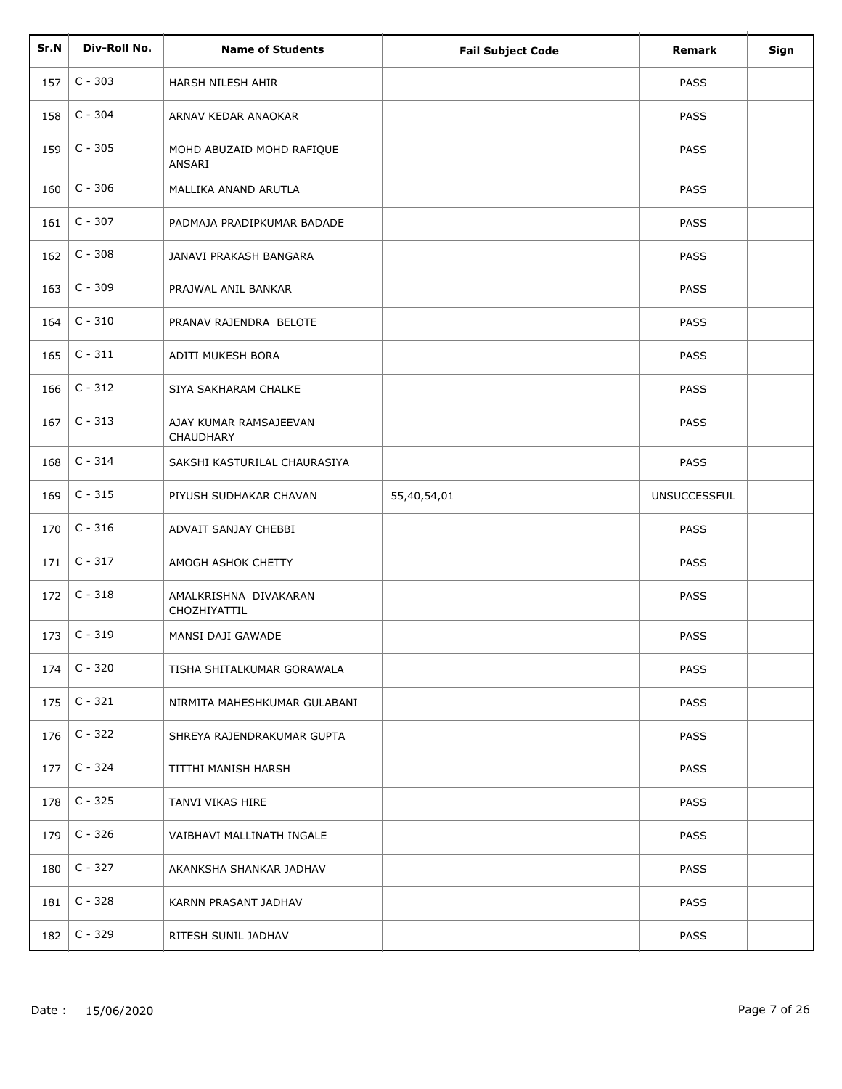| Sr.N | Div-Roll No. | <b>Name of Students</b>               | <b>Fail Subject Code</b> | Remark              | Sign |
|------|--------------|---------------------------------------|--------------------------|---------------------|------|
| 157  | $C - 303$    | HARSH NILESH AHIR                     |                          | <b>PASS</b>         |      |
| 158  | $C - 304$    | ARNAV KEDAR ANAOKAR                   |                          | <b>PASS</b>         |      |
| 159  | $C - 305$    | MOHD ABUZAID MOHD RAFIQUE<br>ANSARI   |                          | <b>PASS</b>         |      |
| 160  | $C - 306$    | MALLIKA ANAND ARUTLA                  |                          | <b>PASS</b>         |      |
| 161  | $C - 307$    | PADMAJA PRADIPKUMAR BADADE            |                          | <b>PASS</b>         |      |
| 162  | $C - 308$    | JANAVI PRAKASH BANGARA                |                          | <b>PASS</b>         |      |
| 163  | $C - 309$    | PRAJWAL ANIL BANKAR                   |                          | <b>PASS</b>         |      |
| 164  | $C - 310$    | PRANAV RAJENDRA BELOTE                |                          | <b>PASS</b>         |      |
| 165  | $C - 311$    | ADITI MUKESH BORA                     |                          | <b>PASS</b>         |      |
| 166  | $C - 312$    | SIYA SAKHARAM CHALKE                  |                          | <b>PASS</b>         |      |
| 167  | $C - 313$    | AJAY KUMAR RAMSAJEEVAN<br>CHAUDHARY   |                          | <b>PASS</b>         |      |
| 168  | $C - 314$    | SAKSHI KASTURILAL CHAURASIYA          |                          | <b>PASS</b>         |      |
| 169  | $C - 315$    | PIYUSH SUDHAKAR CHAVAN                | 55,40,54,01              | <b>UNSUCCESSFUL</b> |      |
| 170  | $C - 316$    | ADVAIT SANJAY CHEBBI                  |                          | <b>PASS</b>         |      |
| 171  | $C - 317$    | AMOGH ASHOK CHETTY                    |                          | <b>PASS</b>         |      |
| 172  | $C - 318$    | AMALKRISHNA DIVAKARAN<br>CHOZHIYATTIL |                          | <b>PASS</b>         |      |
| 173  | $C - 319$    | MANSI DAJI GAWADE                     |                          | <b>PASS</b>         |      |
| 174  | $C - 320$    | TISHA SHITALKUMAR GORAWALA            |                          | <b>PASS</b>         |      |
| 175  | $C - 321$    | NIRMITA MAHESHKUMAR GULABANI          |                          | <b>PASS</b>         |      |
| 176  | $C - 322$    | SHREYA RAJENDRAKUMAR GUPTA            |                          | <b>PASS</b>         |      |
| 177  | $C - 324$    | TITTHI MANISH HARSH                   |                          | <b>PASS</b>         |      |
| 178  | $C - 325$    | TANVI VIKAS HIRE                      |                          | <b>PASS</b>         |      |
| 179  | $C - 326$    | VAIBHAVI MALLINATH INGALE             |                          | <b>PASS</b>         |      |
| 180  | $C - 327$    | AKANKSHA SHANKAR JADHAV               |                          | PASS                |      |
| 181  | $C - 328$    | KARNN PRASANT JADHAV                  |                          | <b>PASS</b>         |      |
| 182  | $C - 329$    | RITESH SUNIL JADHAV                   |                          | <b>PASS</b>         |      |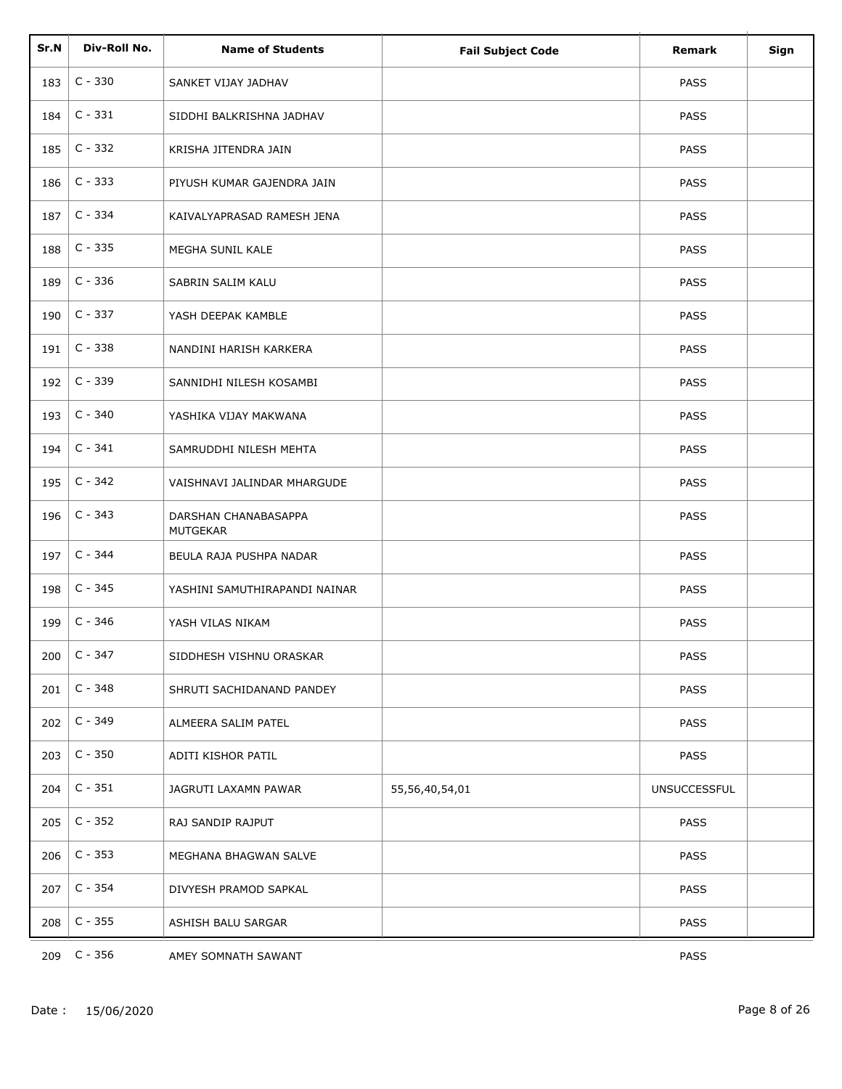| Sr.N | Div-Roll No. | <b>Name of Students</b>                 | <b>Fail Subject Code</b> | Remark              | Sign |
|------|--------------|-----------------------------------------|--------------------------|---------------------|------|
| 183  | $C - 330$    | SANKET VIJAY JADHAV                     |                          | <b>PASS</b>         |      |
| 184  | $C - 331$    | SIDDHI BALKRISHNA JADHAV                |                          | <b>PASS</b>         |      |
| 185  | $C - 332$    | KRISHA JITENDRA JAIN                    |                          | <b>PASS</b>         |      |
| 186  | $C - 333$    | PIYUSH KUMAR GAJENDRA JAIN              |                          | <b>PASS</b>         |      |
| 187  | $C - 334$    | KAIVALYAPRASAD RAMESH JENA              |                          | <b>PASS</b>         |      |
| 188  | $C - 335$    | MEGHA SUNIL KALE                        |                          | <b>PASS</b>         |      |
| 189  | $C - 336$    | SABRIN SALIM KALU                       |                          | <b>PASS</b>         |      |
| 190  | $C - 337$    | YASH DEEPAK KAMBLE                      |                          | <b>PASS</b>         |      |
| 191  | $C - 338$    | NANDINI HARISH KARKERA                  |                          | <b>PASS</b>         |      |
| 192  | $C - 339$    | SANNIDHI NILESH KOSAMBI                 |                          | <b>PASS</b>         |      |
| 193  | $C - 340$    | YASHIKA VIJAY MAKWANA                   |                          | <b>PASS</b>         |      |
| 194  | $C - 341$    | SAMRUDDHI NILESH MEHTA                  |                          | <b>PASS</b>         |      |
| 195  | $C - 342$    | VAISHNAVI JALINDAR MHARGUDE             |                          | <b>PASS</b>         |      |
| 196  | $C - 343$    | DARSHAN CHANABASAPPA<br><b>MUTGEKAR</b> |                          | <b>PASS</b>         |      |
| 197  | $C - 344$    | BEULA RAJA PUSHPA NADAR                 |                          | <b>PASS</b>         |      |
| 198  | $C - 345$    | YASHINI SAMUTHIRAPANDI NAINAR           |                          | <b>PASS</b>         |      |
| 199  | $C - 346$    | YASH VILAS NIKAM                        |                          | PASS                |      |
| 200  | $C - 347$    | SIDDHESH VISHNU ORASKAR                 |                          | PASS                |      |
| 201  | $C - 348$    | SHRUTI SACHIDANAND PANDEY               |                          | PASS                |      |
| 202  | $C - 349$    | ALMEERA SALIM PATEL                     |                          | PASS                |      |
| 203  | $C - 350$    | ADITI KISHOR PATIL                      |                          | <b>PASS</b>         |      |
| 204  | $C - 351$    | JAGRUTI LAXAMN PAWAR                    | 55,56,40,54,01           | <b>UNSUCCESSFUL</b> |      |
| 205  | $C - 352$    | RAJ SANDIP RAJPUT                       |                          | PASS                |      |
| 206  | $C - 353$    | MEGHANA BHAGWAN SALVE                   |                          | PASS                |      |
| 207  | $C - 354$    | DIVYESH PRAMOD SAPKAL                   |                          | <b>PASS</b>         |      |
| 208  | $C - 355$    | ASHISH BALU SARGAR                      |                          | PASS                |      |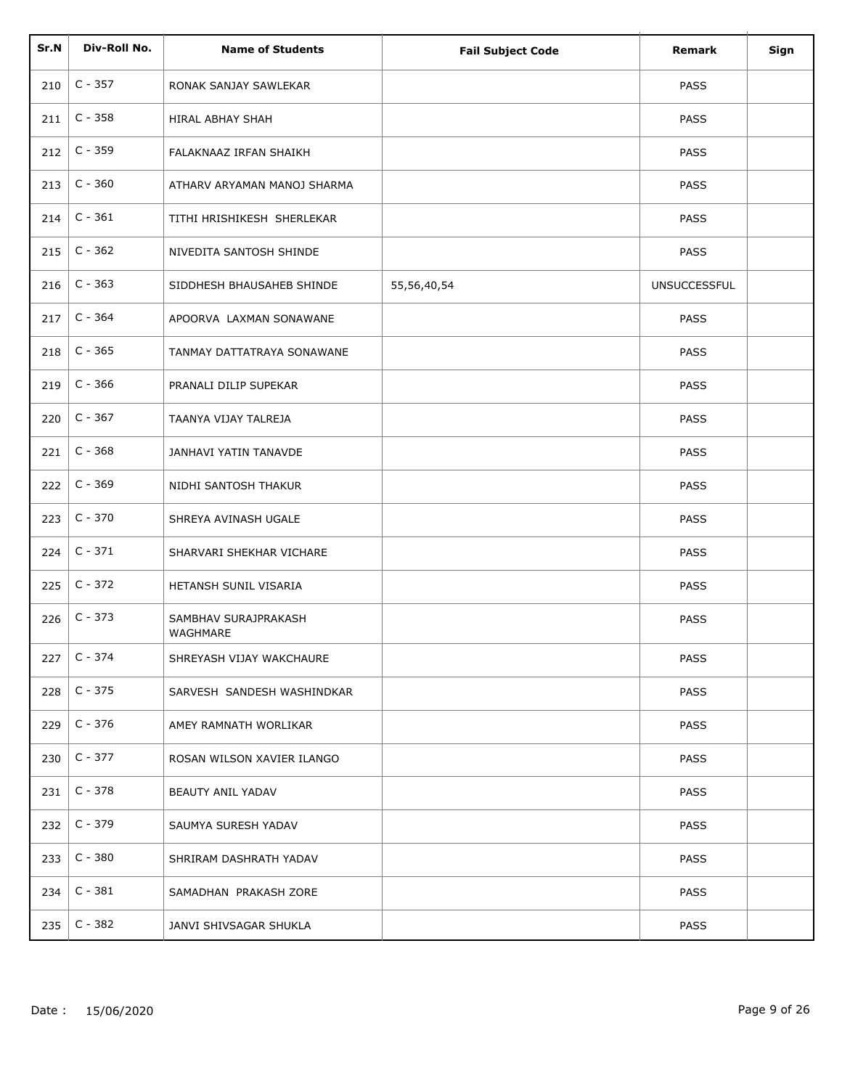| Sr.N | Div-Roll No. | <b>Name of Students</b>          | <b>Fail Subject Code</b> | <b>Remark</b>       | Sign |
|------|--------------|----------------------------------|--------------------------|---------------------|------|
|      |              |                                  |                          |                     |      |
| 210  | $C - 357$    | RONAK SANJAY SAWLEKAR            |                          | <b>PASS</b>         |      |
| 211  | $C - 358$    | <b>HIRAL ABHAY SHAH</b>          |                          | PASS                |      |
| 212  | $C - 359$    | FALAKNAAZ IRFAN SHAIKH           |                          | <b>PASS</b>         |      |
| 213  | $C - 360$    | ATHARV ARYAMAN MANOJ SHARMA      |                          | <b>PASS</b>         |      |
| 214  | $C - 361$    | TITHI HRISHIKESH SHERLEKAR       |                          | <b>PASS</b>         |      |
| 215  | $C - 362$    | NIVEDITA SANTOSH SHINDE          |                          | <b>PASS</b>         |      |
| 216  | $C - 363$    | SIDDHESH BHAUSAHEB SHINDE        | 55,56,40,54              | <b>UNSUCCESSFUL</b> |      |
| 217  | $C - 364$    | APOORVA LAXMAN SONAWANE          |                          | <b>PASS</b>         |      |
| 218  | $C - 365$    | TANMAY DATTATRAYA SONAWANE       |                          | <b>PASS</b>         |      |
| 219  | $C - 366$    | PRANALI DILIP SUPEKAR            |                          | <b>PASS</b>         |      |
| 220  | $C - 367$    | TAANYA VIJAY TALREJA             |                          | <b>PASS</b>         |      |
| 221  | $C - 368$    | JANHAVI YATIN TANAVDE            |                          | <b>PASS</b>         |      |
| 222  | $C - 369$    | NIDHI SANTOSH THAKUR             |                          | <b>PASS</b>         |      |
| 223  | $C - 370$    | SHREYA AVINASH UGALE             |                          | PASS                |      |
| 224  | $C - 371$    | SHARVARI SHEKHAR VICHARE         |                          | <b>PASS</b>         |      |
| 225  | $C - 372$    | HETANSH SUNIL VISARIA            |                          | <b>PASS</b>         |      |
| 226  | $C - 373$    | SAMBHAV SURAJPRAKASH<br>WAGHMARE |                          | <b>PASS</b>         |      |
| 227  | $C - 374$    | SHREYASH VIJAY WAKCHAURE         |                          | PASS                |      |
| 228  | $C - 375$    | SARVESH SANDESH WASHINDKAR       |                          | PASS                |      |
| 229  | $C - 376$    | AMEY RAMNATH WORLIKAR            |                          | <b>PASS</b>         |      |
| 230  | $C - 377$    | ROSAN WILSON XAVIER ILANGO       |                          | <b>PASS</b>         |      |
| 231  | $C - 378$    | BEAUTY ANIL YADAV                |                          | <b>PASS</b>         |      |
| 232  | $C - 379$    | SAUMYA SURESH YADAV              |                          | <b>PASS</b>         |      |
| 233  | $C - 380$    | SHRIRAM DASHRATH YADAV           |                          | <b>PASS</b>         |      |
| 234  | $C - 381$    | SAMADHAN PRAKASH ZORE            |                          | <b>PASS</b>         |      |
| 235  | $C - 382$    | JANVI SHIVSAGAR SHUKLA           |                          | <b>PASS</b>         |      |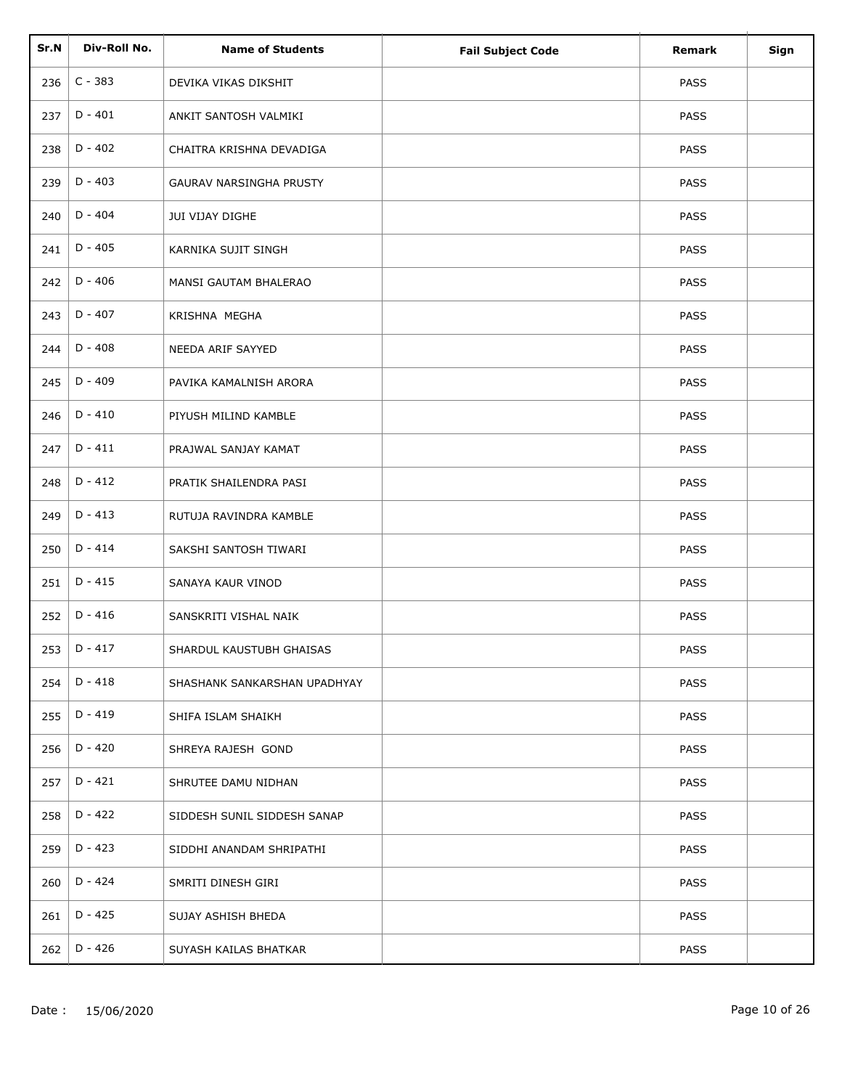| Sr.N | Div-Roll No. | <b>Name of Students</b>      | <b>Fail Subject Code</b> | Remark      | Sign |
|------|--------------|------------------------------|--------------------------|-------------|------|
| 236  | $C - 383$    | DEVIKA VIKAS DIKSHIT         |                          | <b>PASS</b> |      |
| 237  | $D - 401$    | ANKIT SANTOSH VALMIKI        |                          | <b>PASS</b> |      |
| 238  | $D - 402$    | CHAITRA KRISHNA DEVADIGA     |                          | <b>PASS</b> |      |
| 239  | $D - 403$    | GAURAV NARSINGHA PRUSTY      |                          | <b>PASS</b> |      |
| 240  | $D - 404$    | JUI VIJAY DIGHE              |                          | <b>PASS</b> |      |
| 241  | $D - 405$    | KARNIKA SUJIT SINGH          |                          | <b>PASS</b> |      |
| 242  | $D - 406$    | MANSI GAUTAM BHALERAO        |                          | <b>PASS</b> |      |
| 243  | $D - 407$    | KRISHNA MEGHA                |                          | <b>PASS</b> |      |
| 244  | $D - 408$    | NEEDA ARIF SAYYED            |                          | PASS        |      |
| 245  | $D - 409$    | PAVIKA KAMALNISH ARORA       |                          | PASS        |      |
| 246  | $D - 410$    | PIYUSH MILIND KAMBLE         |                          | <b>PASS</b> |      |
| 247  | $D - 411$    | PRAJWAL SANJAY KAMAT         |                          | <b>PASS</b> |      |
| 248  | $D - 412$    | PRATIK SHAILENDRA PASI       |                          | <b>PASS</b> |      |
| 249  | $D - 413$    | RUTUJA RAVINDRA KAMBLE       |                          | <b>PASS</b> |      |
| 250  | $D - 414$    | SAKSHI SANTOSH TIWARI        |                          | PASS        |      |
| 251  | $D - 415$    | SANAYA KAUR VINOD            |                          | PASS        |      |
| 252  | $D - 416$    | SANSKRITI VISHAL NAIK        |                          | <b>PASS</b> |      |
| 253  | $D - 417$    | SHARDUL KAUSTUBH GHAISAS     |                          | PASS        |      |
| 254  | $D - 418$    | SHASHANK SANKARSHAN UPADHYAY |                          | <b>PASS</b> |      |
| 255  | $D - 419$    | SHIFA ISLAM SHAIKH           |                          | PASS        |      |
| 256  | D - 420      | SHREYA RAJESH GOND           |                          | <b>PASS</b> |      |
| 257  | $D - 421$    | SHRUTEE DAMU NIDHAN          |                          | <b>PASS</b> |      |
| 258  | $D - 422$    | SIDDESH SUNIL SIDDESH SANAP  |                          | <b>PASS</b> |      |
| 259  | $D - 423$    | SIDDHI ANANDAM SHRIPATHI     |                          | <b>PASS</b> |      |
| 260  | $D - 424$    | SMRITI DINESH GIRI           |                          | <b>PASS</b> |      |
| 261  | $D - 425$    | SUJAY ASHISH BHEDA           |                          | <b>PASS</b> |      |
| 262  | D - 426      | SUYASH KAILAS BHATKAR        |                          | PASS        |      |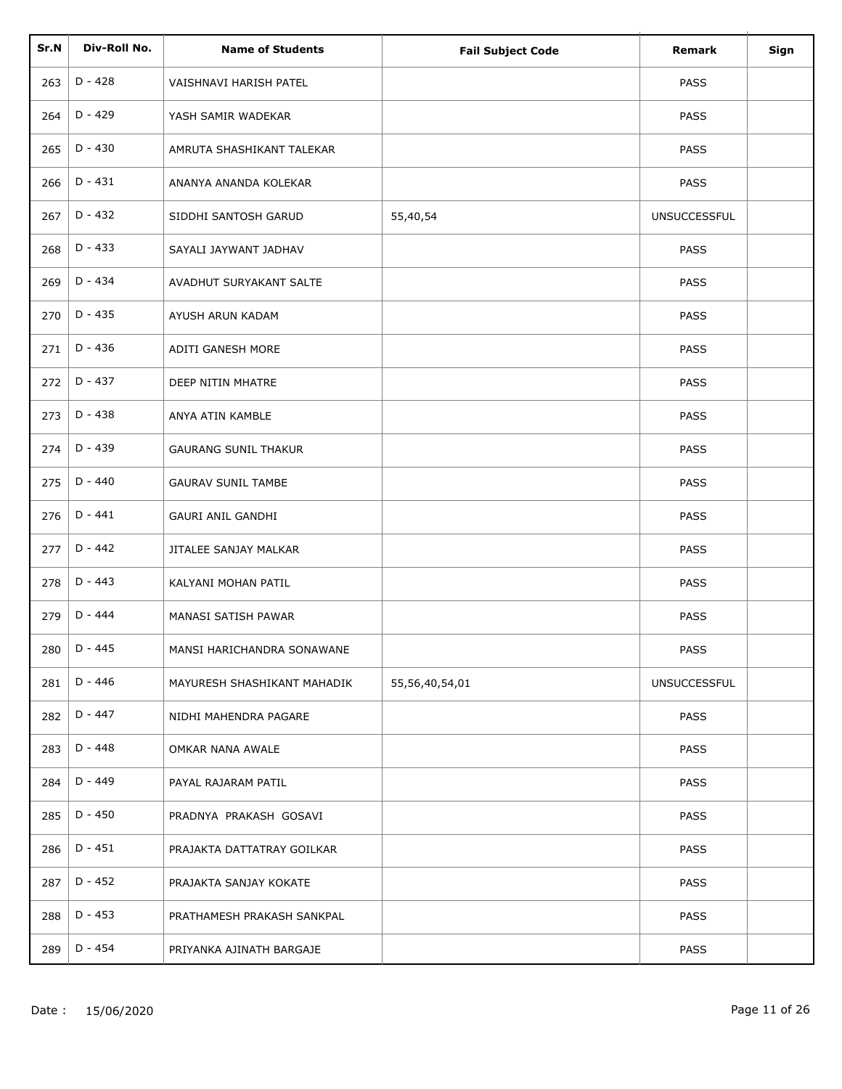| Sr.N | Div-Roll No. | <b>Name of Students</b>     | <b>Fail Subject Code</b> | Remark              | Sign |
|------|--------------|-----------------------------|--------------------------|---------------------|------|
| 263  | $D - 428$    | VAISHNAVI HARISH PATEL      |                          | <b>PASS</b>         |      |
| 264  | D - 429      | YASH SAMIR WADEKAR          |                          | <b>PASS</b>         |      |
| 265  | $D - 430$    | AMRUTA SHASHIKANT TALEKAR   |                          | <b>PASS</b>         |      |
| 266  | $D - 431$    | ANANYA ANANDA KOLEKAR       |                          | PASS                |      |
| 267  | $D - 432$    | SIDDHI SANTOSH GARUD        | 55,40,54                 | <b>UNSUCCESSFUL</b> |      |
| 268  | $D - 433$    | SAYALI JAYWANT JADHAV       |                          | <b>PASS</b>         |      |
| 269  | $D - 434$    | AVADHUT SURYAKANT SALTE     |                          | PASS                |      |
| 270  | $D - 435$    | AYUSH ARUN KADAM            |                          | PASS                |      |
| 271  | $D - 436$    | ADITI GANESH MORE           |                          | <b>PASS</b>         |      |
| 272  | $D - 437$    | DEEP NITIN MHATRE           |                          | <b>PASS</b>         |      |
| 273  | $D - 438$    | ANYA ATIN KAMBLE            |                          | <b>PASS</b>         |      |
| 274  | $D - 439$    | <b>GAURANG SUNIL THAKUR</b> |                          | <b>PASS</b>         |      |
| 275  | $D - 440$    | <b>GAURAV SUNIL TAMBE</b>   |                          | <b>PASS</b>         |      |
| 276  | $D - 441$    | <b>GAURI ANIL GANDHI</b>    |                          | PASS                |      |
| 277  | $D - 442$    | JITALEE SANJAY MALKAR       |                          | PASS                |      |
| 278  | $D - 443$    | KALYANI MOHAN PATIL         |                          | PASS                |      |
| 279  | $D - 444$    | MANASI SATISH PAWAR         |                          | <b>PASS</b>         |      |
| 280  | $D - 445$    | MANSI HARICHANDRA SONAWANE  |                          | PASS                |      |
| 281  | $D - 446$    | MAYURESH SHASHIKANT MAHADIK | 55,56,40,54,01           | <b>UNSUCCESSFUL</b> |      |
| 282  | D - 447      | NIDHI MAHENDRA PAGARE       |                          | <b>PASS</b>         |      |
| 283  | $D - 448$    | OMKAR NANA AWALE            |                          | <b>PASS</b>         |      |
| 284  | $D - 449$    | PAYAL RAJARAM PATIL         |                          | <b>PASS</b>         |      |
| 285  | $D - 450$    | PRADNYA PRAKASH GOSAVI      |                          | PASS                |      |
| 286  | D - 451      | PRAJAKTA DATTATRAY GOILKAR  |                          | <b>PASS</b>         |      |
| 287  | D - 452      | PRAJAKTA SANJAY KOKATE      |                          | <b>PASS</b>         |      |
| 288  | D - 453      | PRATHAMESH PRAKASH SANKPAL  |                          | <b>PASS</b>         |      |
| 289  | D - 454      | PRIYANKA AJINATH BARGAJE    |                          | <b>PASS</b>         |      |
|      |              |                             |                          |                     |      |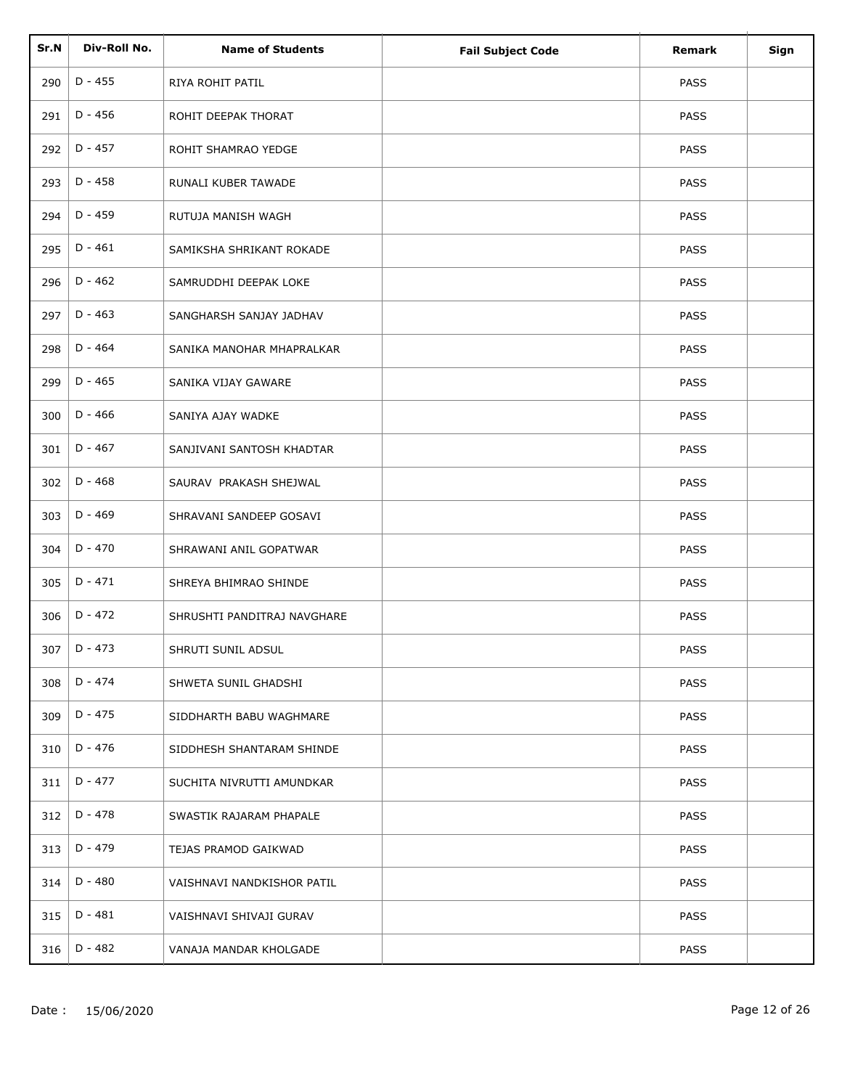| Sr.N | Div-Roll No. | <b>Name of Students</b>     | <b>Fail Subject Code</b> | Remark      | Sign |
|------|--------------|-----------------------------|--------------------------|-------------|------|
| 290  | $D - 455$    | RIYA ROHIT PATIL            |                          | <b>PASS</b> |      |
| 291  | D - 456      | ROHIT DEEPAK THORAT         |                          | <b>PASS</b> |      |
| 292  | D - 457      | ROHIT SHAMRAO YEDGE         |                          | <b>PASS</b> |      |
| 293  | $D - 458$    | RUNALI KUBER TAWADE         |                          | <b>PASS</b> |      |
| 294  | $D - 459$    | RUTUJA MANISH WAGH          |                          | <b>PASS</b> |      |
| 295  | $D - 461$    | SAMIKSHA SHRIKANT ROKADE    |                          | <b>PASS</b> |      |
| 296  | $D - 462$    | SAMRUDDHI DEEPAK LOKE       |                          | <b>PASS</b> |      |
| 297  | $D - 463$    | SANGHARSH SANJAY JADHAV     |                          | <b>PASS</b> |      |
| 298  | $D - 464$    | SANIKA MANOHAR MHAPRALKAR   |                          | <b>PASS</b> |      |
| 299  | $D - 465$    | SANIKA VIJAY GAWARE         |                          | <b>PASS</b> |      |
| 300  | $D - 466$    | SANIYA AJAY WADKE           |                          | <b>PASS</b> |      |
| 301  | $D - 467$    | SANJIVANI SANTOSH KHADTAR   |                          | <b>PASS</b> |      |
| 302  | $D - 468$    | SAURAV PRAKASH SHEJWAL      |                          | <b>PASS</b> |      |
| 303  | $D - 469$    | SHRAVANI SANDEEP GOSAVI     |                          | <b>PASS</b> |      |
| 304  | $D - 470$    | SHRAWANI ANIL GOPATWAR      |                          | PASS        |      |
| 305  | $D - 471$    | SHREYA BHIMRAO SHINDE       |                          | PASS        |      |
| 306  | $D - 472$    | SHRUSHTI PANDITRAJ NAVGHARE |                          | <b>PASS</b> |      |
| 307  | $D - 473$    | SHRUTI SUNIL ADSUL          |                          | PASS        |      |
| 308  | $D - 474$    | SHWETA SUNIL GHADSHI        |                          | <b>PASS</b> |      |
| 309  | D - 475      | SIDDHARTH BABU WAGHMARE     |                          | <b>PASS</b> |      |
| 310  | D - 476      | SIDDHESH SHANTARAM SHINDE   |                          | <b>PASS</b> |      |
| 311  | D - 477      | SUCHITA NIVRUTTI AMUNDKAR   |                          | <b>PASS</b> |      |
| 312  | $D - 478$    | SWASTIK RAJARAM PHAPALE     |                          | <b>PASS</b> |      |
| 313  | D - 479      | TEJAS PRAMOD GAIKWAD        |                          | <b>PASS</b> |      |
| 314  | D - 480      | VAISHNAVI NANDKISHOR PATIL  |                          | <b>PASS</b> |      |
| 315  | D - 481      | VAISHNAVI SHIVAJI GURAV     |                          | <b>PASS</b> |      |
| 316  | D - 482      | VANAJA MANDAR KHOLGADE      |                          | <b>PASS</b> |      |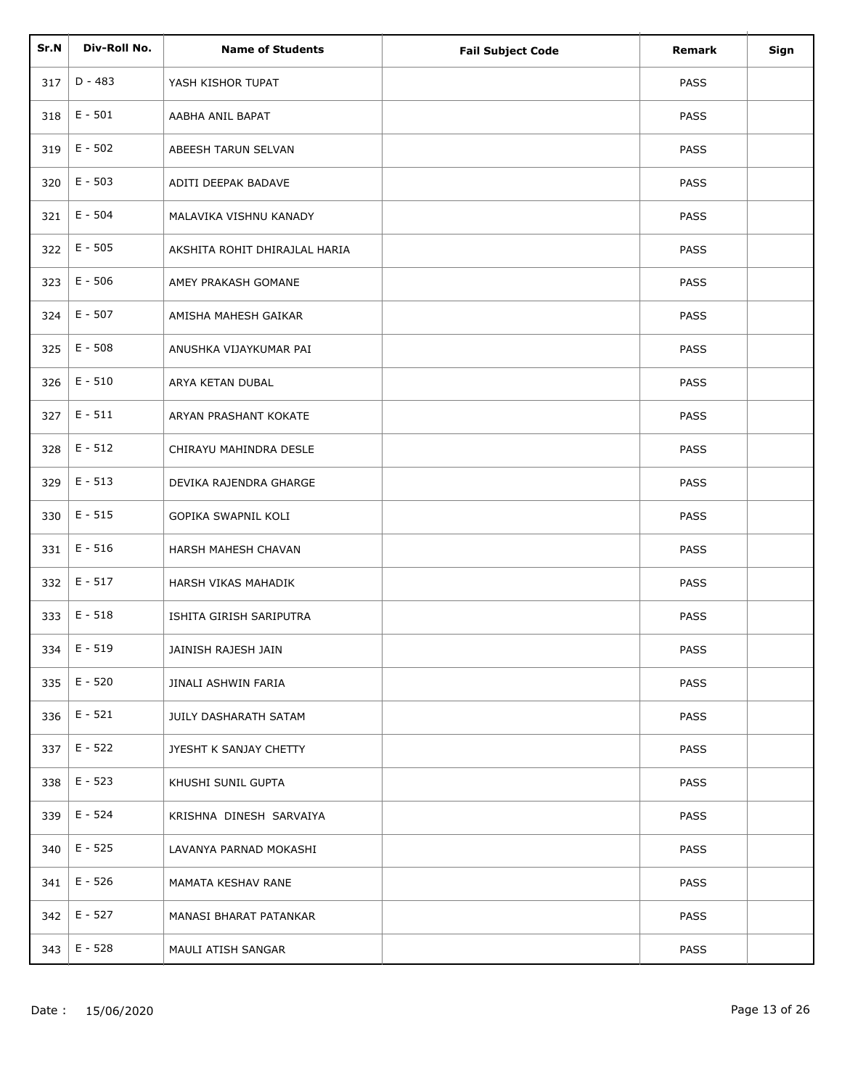| Sr.N | Div-Roll No. | <b>Name of Students</b>       | <b>Fail Subject Code</b> | <b>Remark</b> | Sign |
|------|--------------|-------------------------------|--------------------------|---------------|------|
| 317  | $D - 483$    | YASH KISHOR TUPAT             |                          | <b>PASS</b>   |      |
| 318  | $E - 501$    | AABHA ANIL BAPAT              |                          | <b>PASS</b>   |      |
| 319  | $E - 502$    | ABEESH TARUN SELVAN           |                          | <b>PASS</b>   |      |
| 320  | $E - 503$    | ADITI DEEPAK BADAVE           |                          | <b>PASS</b>   |      |
| 321  | $E - 504$    | MALAVIKA VISHNU KANADY        |                          | <b>PASS</b>   |      |
| 322  | $E - 505$    | AKSHITA ROHIT DHIRAJLAL HARIA |                          | <b>PASS</b>   |      |
| 323  | $E - 506$    | AMEY PRAKASH GOMANE           |                          | <b>PASS</b>   |      |
| 324  | $E - 507$    | AMISHA MAHESH GAIKAR          |                          | <b>PASS</b>   |      |
| 325  | $E - 508$    | ANUSHKA VIJAYKUMAR PAI        |                          | PASS          |      |
| 326  | $E - 510$    | ARYA KETAN DUBAL              |                          | PASS          |      |
| 327  | $E - 511$    | ARYAN PRASHANT KOKATE         |                          | <b>PASS</b>   |      |
| 328  | $E - 512$    | CHIRAYU MAHINDRA DESLE        |                          | <b>PASS</b>   |      |
| 329  | $E - 513$    | DEVIKA RAJENDRA GHARGE        |                          | <b>PASS</b>   |      |
| 330  | $E - 515$    | GOPIKA SWAPNIL KOLI           |                          | PASS          |      |
| 331  | $E - 516$    | HARSH MAHESH CHAVAN           |                          | PASS          |      |
| 332  | $E - 517$    | HARSH VIKAS MAHADIK           |                          | PASS          |      |
| 333  | $E - 518$    | ISHITA GIRISH SARIPUTRA       |                          | <b>PASS</b>   |      |
| 334  | $E - 519$    | JAINISH RAJESH JAIN           |                          | PASS          |      |
| 335  | $E - 520$    | JINALI ASHWIN FARIA           |                          | <b>PASS</b>   |      |
| 336  | $E - 521$    | JUILY DASHARATH SATAM         |                          | PASS          |      |
| 337  | $E - 522$    | JYESHT K SANJAY CHETTY        |                          | <b>PASS</b>   |      |
| 338  | $E - 523$    | KHUSHI SUNIL GUPTA            |                          | <b>PASS</b>   |      |
| 339  | E - 524      | KRISHNA DINESH SARVAIYA       |                          | <b>PASS</b>   |      |
| 340  | $E - 525$    | LAVANYA PARNAD MOKASHI        |                          | <b>PASS</b>   |      |
| 341  | $E - 526$    | MAMATA KESHAV RANE            |                          | <b>PASS</b>   |      |
| 342  | $E - 527$    | MANASI BHARAT PATANKAR        |                          | <b>PASS</b>   |      |
| 343  | $E - 528$    | MAULI ATISH SANGAR            |                          | PASS          |      |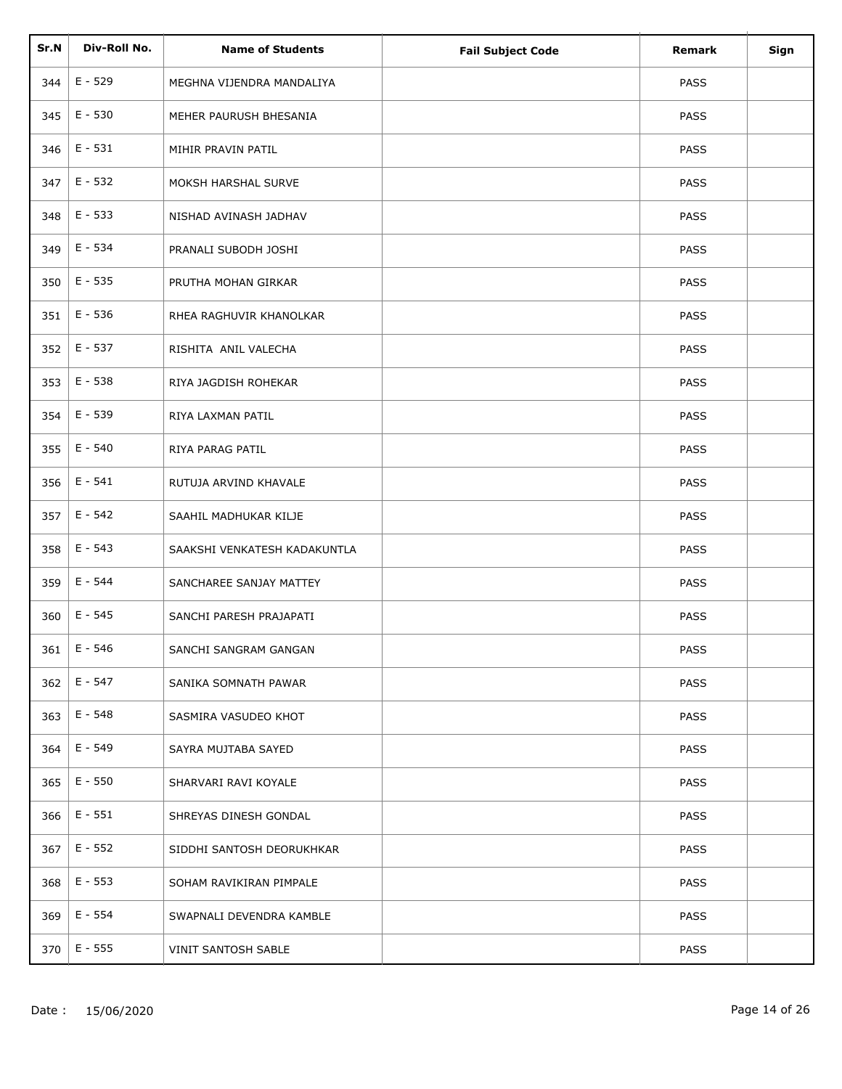| Sr.N | Div-Roll No. | <b>Name of Students</b>      | <b>Fail Subject Code</b> | Remark      | Sign |
|------|--------------|------------------------------|--------------------------|-------------|------|
| 344  | $E - 529$    | MEGHNA VIJENDRA MANDALIYA    |                          | <b>PASS</b> |      |
| 345  | $E - 530$    | MEHER PAURUSH BHESANIA       |                          | <b>PASS</b> |      |
| 346  | $E - 531$    | MIHIR PRAVIN PATIL           |                          | <b>PASS</b> |      |
| 347  | $E - 532$    | MOKSH HARSHAL SURVE          |                          | PASS        |      |
| 348  | $E - 533$    | NISHAD AVINASH JADHAV        |                          | <b>PASS</b> |      |
| 349  | $E - 534$    | PRANALI SUBODH JOSHI         |                          | <b>PASS</b> |      |
| 350  | E - 535      | PRUTHA MOHAN GIRKAR          |                          | PASS        |      |
| 351  | $E - 536$    | RHEA RAGHUVIR KHANOLKAR      |                          | PASS        |      |
| 352  | $E - 537$    | RISHITA ANIL VALECHA         |                          | PASS        |      |
| 353  | E - 538      | RIYA JAGDISH ROHEKAR         |                          | PASS        |      |
| 354  | E - 539      | RIYA LAXMAN PATIL            |                          | <b>PASS</b> |      |
| 355  | E - 540      | RIYA PARAG PATIL             |                          | <b>PASS</b> |      |
| 356  | $E - 541$    | RUTUJA ARVIND KHAVALE        |                          | PASS        |      |
| 357  | $E - 542$    | SAAHIL MADHUKAR KILJE        |                          | PASS        |      |
| 358  | $E - 543$    | SAAKSHI VENKATESH KADAKUNTLA |                          | PASS        |      |
| 359  | E - 544      | SANCHAREE SANJAY MATTEY      |                          | PASS        |      |
| 360  | $E - 545$    | SANCHI PARESH PRAJAPATI      |                          | PASS        |      |
| 361  | $E - 546$    | SANCHI SANGRAM GANGAN        |                          | PASS        |      |
| 362  | E - 547      | SANIKA SOMNATH PAWAR         |                          | <b>PASS</b> |      |
| 363  | $E - 548$    | SASMIRA VASUDEO KHOT         |                          | <b>PASS</b> |      |
| 364  | E - 549      | SAYRA MUJTABA SAYED          |                          | <b>PASS</b> |      |
| 365  | $E - 550$    | SHARVARI RAVI KOYALE         |                          | <b>PASS</b> |      |
| 366  | $E - 551$    | SHREYAS DINESH GONDAL        |                          | PASS        |      |
| 367  | $E - 552$    | SIDDHI SANTOSH DEORUKHKAR    |                          | <b>PASS</b> |      |
| 368  | $E - 553$    | SOHAM RAVIKIRAN PIMPALE      |                          | <b>PASS</b> |      |
| 369  | E - 554      | SWAPNALI DEVENDRA KAMBLE     |                          | <b>PASS</b> |      |
| 370  | $E - 555$    | VINIT SANTOSH SABLE          |                          | PASS        |      |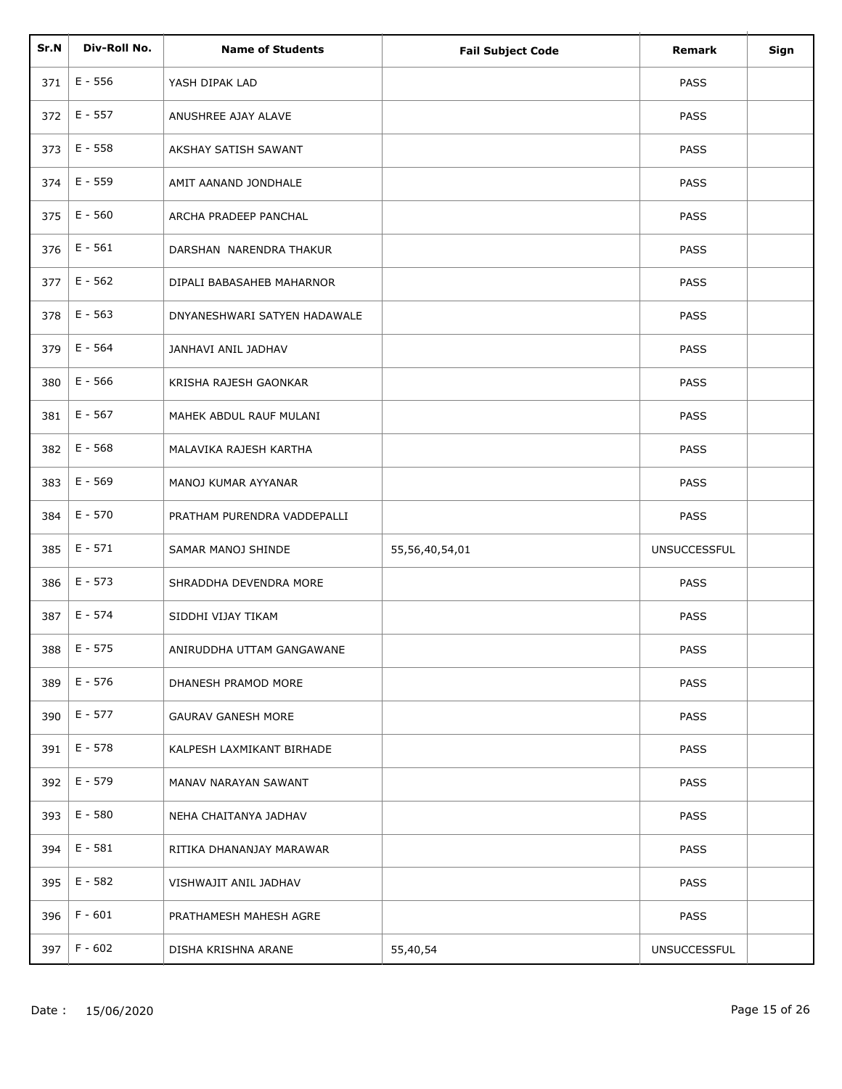| Sr.N | Div-Roll No. | <b>Name of Students</b>      |                          | <b>Remark</b>       |      |
|------|--------------|------------------------------|--------------------------|---------------------|------|
|      |              |                              | <b>Fail Subject Code</b> |                     | Sign |
| 371  | $E - 556$    | YASH DIPAK LAD               |                          | <b>PASS</b>         |      |
| 372  | $E - 557$    | ANUSHREE AJAY ALAVE          |                          | <b>PASS</b>         |      |
| 373  | $E - 558$    | AKSHAY SATISH SAWANT         |                          | <b>PASS</b>         |      |
| 374  | $E - 559$    | AMIT AANAND JONDHALE         |                          | <b>PASS</b>         |      |
| 375  | $E - 560$    | ARCHA PRADEEP PANCHAL        |                          | <b>PASS</b>         |      |
| 376  | $E - 561$    | DARSHAN NARENDRA THAKUR      |                          | <b>PASS</b>         |      |
| 377  | $E - 562$    | DIPALI BABASAHEB MAHARNOR    |                          | <b>PASS</b>         |      |
| 378  | $E - 563$    | DNYANESHWARI SATYEN HADAWALE |                          | <b>PASS</b>         |      |
| 379  | $E - 564$    | JANHAVI ANIL JADHAV          |                          | <b>PASS</b>         |      |
| 380  | E - 566      | KRISHA RAJESH GAONKAR        |                          | PASS                |      |
| 381  | $E - 567$    | MAHEK ABDUL RAUF MULANI      |                          | <b>PASS</b>         |      |
| 382  | $E - 568$    | MALAVIKA RAJESH KARTHA       |                          | <b>PASS</b>         |      |
| 383  | E - 569      | MANOJ KUMAR AYYANAR          |                          | <b>PASS</b>         |      |
| 384  | $E - 570$    | PRATHAM PURENDRA VADDEPALLI  |                          | <b>PASS</b>         |      |
| 385  | $E - 571$    | SAMAR MANOJ SHINDE           | 55,56,40,54,01           | <b>UNSUCCESSFUL</b> |      |
| 386  | $E - 573$    | SHRADDHA DEVENDRA MORE       |                          | PASS                |      |
| 387  | $E - 574$    | SIDDHI VIJAY TIKAM           |                          | <b>PASS</b>         |      |
| 388  | $E - 575$    | ANIRUDDHA UTTAM GANGAWANE    |                          | PASS                |      |
| 389  | $E - 576$    | DHANESH PRAMOD MORE          |                          | <b>PASS</b>         |      |
| 390  | $E - 577$    | <b>GAURAV GANESH MORE</b>    |                          | <b>PASS</b>         |      |
| 391  | E - 578      | KALPESH LAXMIKANT BIRHADE    |                          | <b>PASS</b>         |      |
| 392  | $E - 579$    | MANAV NARAYAN SAWANT         |                          | <b>PASS</b>         |      |
| 393  | $E - 580$    | NEHA CHAITANYA JADHAV        |                          | <b>PASS</b>         |      |
| 394  | $E - 581$    | RITIKA DHANANJAY MARAWAR     |                          | <b>PASS</b>         |      |
| 395  | $E - 582$    | VISHWAJIT ANIL JADHAV        |                          | <b>PASS</b>         |      |
| 396  | $F - 601$    | PRATHAMESH MAHESH AGRE       |                          | <b>PASS</b>         |      |
| 397  | $F - 602$    | DISHA KRISHNA ARANE          | 55,40,54                 | <b>UNSUCCESSFUL</b> |      |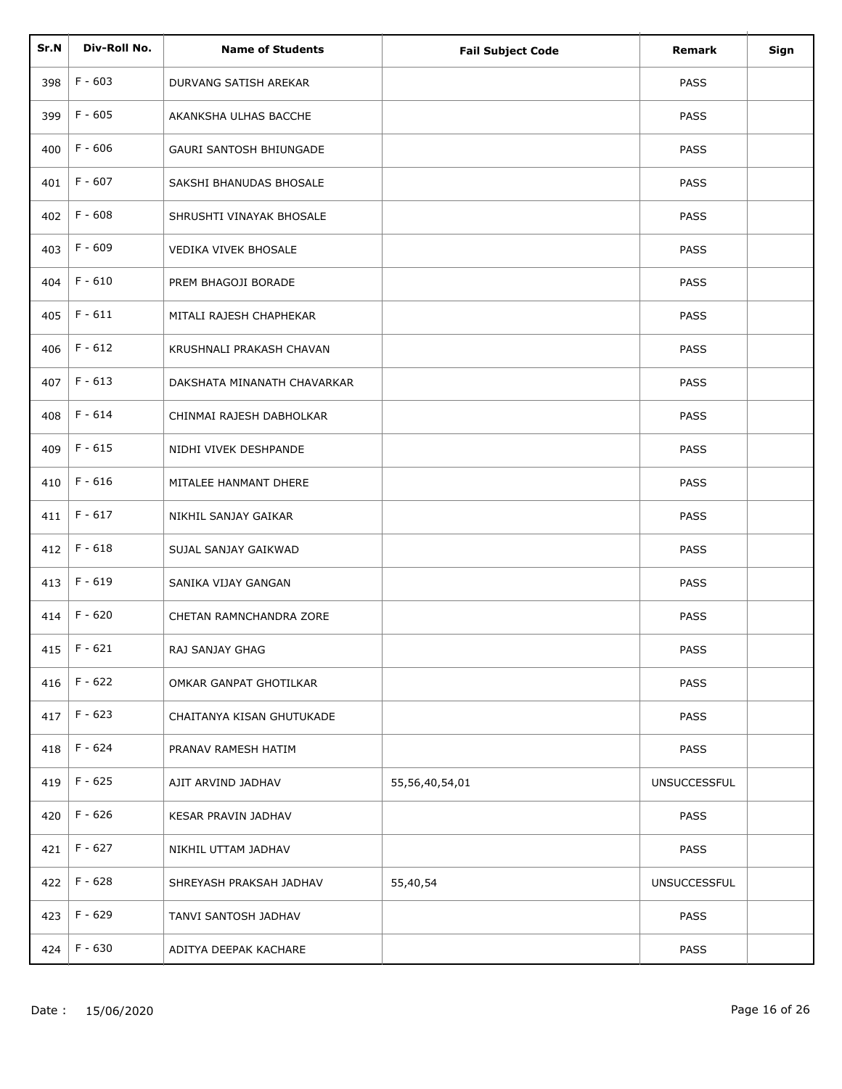| Sr.N | Div-Roll No. | <b>Name of Students</b>     | <b>Fail Subject Code</b> | <b>Remark</b>       | Sign |
|------|--------------|-----------------------------|--------------------------|---------------------|------|
| 398  | $F - 603$    | DURVANG SATISH AREKAR       |                          | <b>PASS</b>         |      |
| 399  | $F - 605$    | AKANKSHA ULHAS BACCHE       |                          | <b>PASS</b>         |      |
| 400  | $F - 606$    | GAURI SANTOSH BHIUNGADE     |                          | <b>PASS</b>         |      |
| 401  | $F - 607$    | SAKSHI BHANUDAS BHOSALE     |                          | <b>PASS</b>         |      |
| 402  | $F - 608$    | SHRUSHTI VINAYAK BHOSALE    |                          | <b>PASS</b>         |      |
| 403  | $F - 609$    | VEDIKA VIVEK BHOSALE        |                          | <b>PASS</b>         |      |
| 404  | $F - 610$    | PREM BHAGOJI BORADE         |                          | <b>PASS</b>         |      |
| 405  | $F - 611$    | MITALI RAJESH CHAPHEKAR     |                          | <b>PASS</b>         |      |
| 406  | $F - 612$    | KRUSHNALI PRAKASH CHAVAN    |                          | <b>PASS</b>         |      |
| 407  | $F - 613$    | DAKSHATA MINANATH CHAVARKAR |                          | <b>PASS</b>         |      |
| 408  | $F - 614$    | CHINMAI RAJESH DABHOLKAR    |                          | <b>PASS</b>         |      |
| 409  | $F - 615$    | NIDHI VIVEK DESHPANDE       |                          | <b>PASS</b>         |      |
| 410  | $F - 616$    | MITALEE HANMANT DHERE       |                          | <b>PASS</b>         |      |
| 411  | $F - 617$    | NIKHIL SANJAY GAIKAR        |                          | <b>PASS</b>         |      |
| 412  | $F - 618$    | SUJAL SANJAY GAIKWAD        |                          | PASS                |      |
| 413  | $F - 619$    | SANIKA VIJAY GANGAN         |                          | PASS                |      |
| 414  | $F - 620$    | CHETAN RAMNCHANDRA ZORE     |                          | <b>PASS</b>         |      |
| 415  | $F - 621$    | RAJ SANJAY GHAG             |                          | PASS                |      |
| 416  | $F - 622$    | OMKAR GANPAT GHOTILKAR      |                          | <b>PASS</b>         |      |
| 417  | $F - 623$    | CHAITANYA KISAN GHUTUKADE   |                          | <b>PASS</b>         |      |
| 418  | F - 624      | PRANAV RAMESH HATIM         |                          | <b>PASS</b>         |      |
| 419  | F - 625      | AJIT ARVIND JADHAV          | 55,56,40,54,01           | <b>UNSUCCESSFUL</b> |      |
| 420  | F - 626      | KESAR PRAVIN JADHAV         |                          | <b>PASS</b>         |      |
| 421  | $F - 627$    | NIKHIL UTTAM JADHAV         |                          | <b>PASS</b>         |      |
| 422  | F - 628      | SHREYASH PRAKSAH JADHAV     | 55,40,54                 | <b>UNSUCCESSFUL</b> |      |
| 423  | F - 629      | TANVI SANTOSH JADHAV        |                          | <b>PASS</b>         |      |
| 424  | F - 630      | ADITYA DEEPAK KACHARE       |                          | PASS                |      |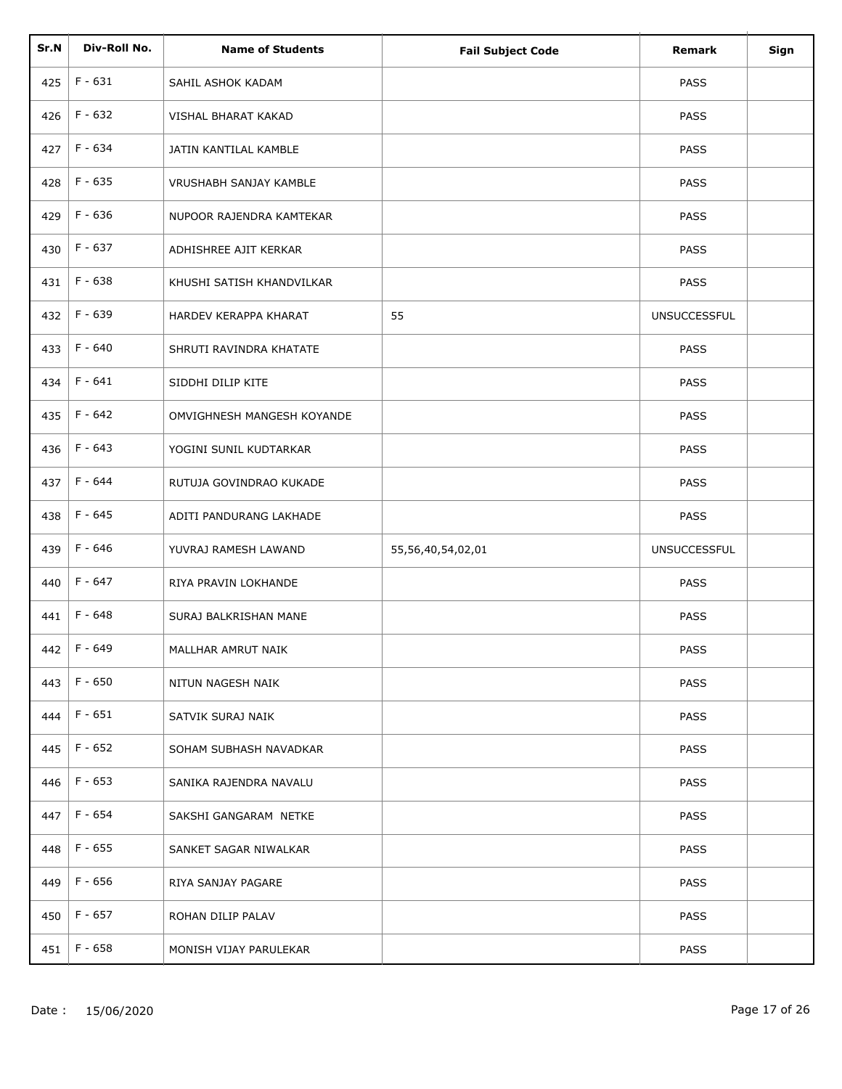| Sr.N | Div-Roll No.    | <b>Name of Students</b>    | <b>Fail Subject Code</b> | <b>Remark</b>       | Sign |
|------|-----------------|----------------------------|--------------------------|---------------------|------|
| 425  | $F - 631$       | SAHIL ASHOK KADAM          |                          | <b>PASS</b>         |      |
|      |                 |                            |                          |                     |      |
| 426  | $F - 632$       | VISHAL BHARAT KAKAD        |                          | <b>PASS</b>         |      |
| 427  | F - 634         | JATIN KANTILAL KAMBLE      |                          | <b>PASS</b>         |      |
| 428  | F - 635         | VRUSHABH SANJAY KAMBLE     |                          | <b>PASS</b>         |      |
| 429  | $F - 636$       | NUPOOR RAJENDRA KAMTEKAR   |                          | <b>PASS</b>         |      |
| 430  | F - 637         | ADHISHREE AJIT KERKAR      |                          | <b>PASS</b>         |      |
| 431  | F - 638         | KHUSHI SATISH KHANDVILKAR  |                          | <b>PASS</b>         |      |
| 432  | F - 639         | HARDEV KERAPPA KHARAT      | 55                       | <b>UNSUCCESSFUL</b> |      |
| 433  | $F - 640$       | SHRUTI RAVINDRA KHATATE    |                          | <b>PASS</b>         |      |
| 434  | $F - 641$       | SIDDHI DILIP KITE          |                          | PASS                |      |
| 435  | $F - 642$       | OMVIGHNESH MANGESH KOYANDE |                          | <b>PASS</b>         |      |
| 436  | F - 643         | YOGINI SUNIL KUDTARKAR     |                          | <b>PASS</b>         |      |
| 437  | F - 644         | RUTUJA GOVINDRAO KUKADE    |                          | <b>PASS</b>         |      |
| 438  | F - 645         | ADITI PANDURANG LAKHADE    |                          | PASS                |      |
| 439  | F - 646         | YUVRAJ RAMESH LAWAND       | 55,56,40,54,02,01        | <b>UNSUCCESSFUL</b> |      |
| 440  | F - 647         | RIYA PRAVIN LOKHANDE       |                          | PASS                |      |
| 441  | $F - 648$       | SURAJ BALKRISHAN MANE      |                          | <b>PASS</b>         |      |
| 442  | F - 649         | MALLHAR AMRUT NAIK         |                          | PASS                |      |
| 443  | F - 650         | NITUN NAGESH NAIK          |                          | <b>PASS</b>         |      |
| 444  | F - 651         | SATVIK SURAJ NAIK          |                          | <b>PASS</b>         |      |
| 445  | F - 652         | SOHAM SUBHASH NAVADKAR     |                          | <b>PASS</b>         |      |
| 446  | F - 653         | SANIKA RAJENDRA NAVALU     |                          | <b>PASS</b>         |      |
| 447  | F - 654         | SAKSHI GANGARAM NETKE      |                          | <b>PASS</b>         |      |
| 448  | F - 655         | SANKET SAGAR NIWALKAR      |                          | PASS                |      |
| 449  | F - 656         | RIYA SANJAY PAGARE         |                          | <b>PASS</b>         |      |
| 450  | F - 657         | ROHAN DILIP PALAV          |                          | <b>PASS</b>         |      |
|      | 451   $F - 658$ | MONISH VIJAY PARULEKAR     |                          | <b>PASS</b>         |      |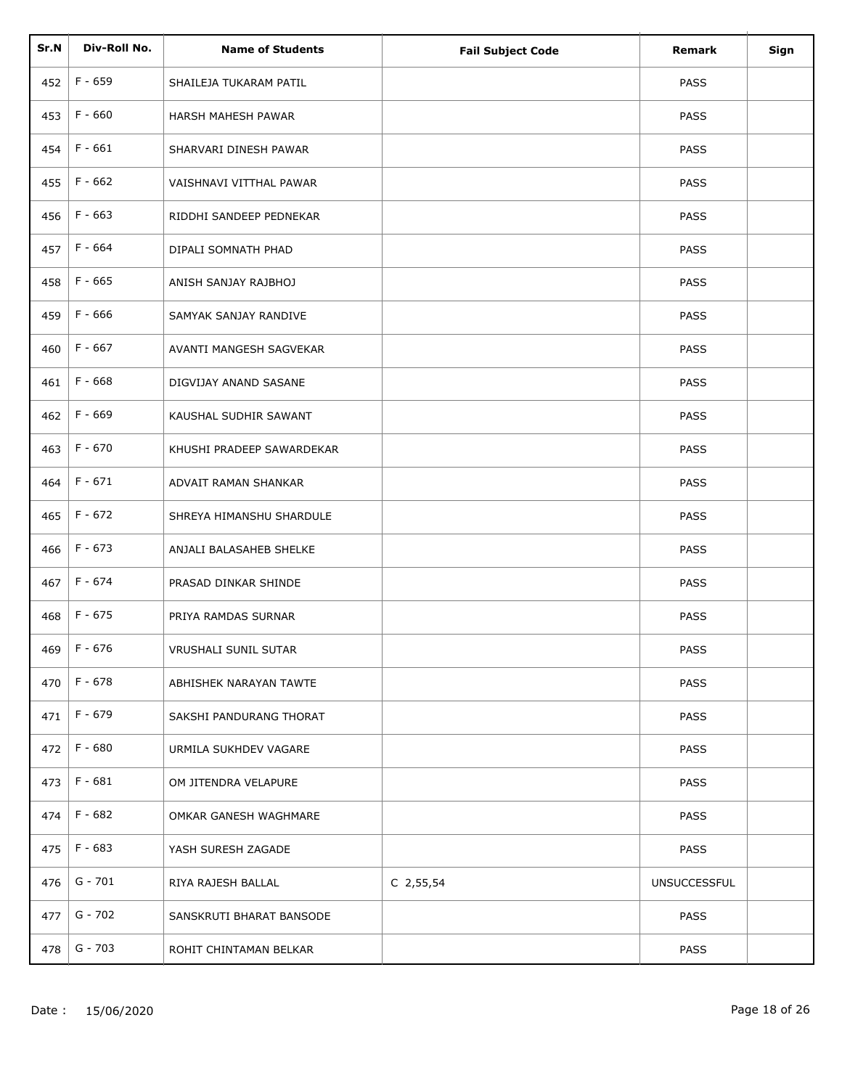| Sr.N | Div-Roll No. | <b>Name of Students</b>   | <b>Fail Subject Code</b> | Remark              | Sign |
|------|--------------|---------------------------|--------------------------|---------------------|------|
| 452  | F - 659      | SHAILEJA TUKARAM PATIL    |                          | <b>PASS</b>         |      |
|      |              |                           |                          |                     |      |
| 453  | $F - 660$    | HARSH MAHESH PAWAR        |                          | <b>PASS</b>         |      |
| 454  | $F - 661$    | SHARVARI DINESH PAWAR     |                          | <b>PASS</b>         |      |
| 455  | F - 662      | VAISHNAVI VITTHAL PAWAR   |                          | <b>PASS</b>         |      |
| 456  | $F - 663$    | RIDDHI SANDEEP PEDNEKAR   |                          | <b>PASS</b>         |      |
| 457  | F - 664      | DIPALI SOMNATH PHAD       |                          | <b>PASS</b>         |      |
| 458  | F - 665      | ANISH SANJAY RAJBHOJ      |                          | <b>PASS</b>         |      |
| 459  | $F - 666$    | SAMYAK SANJAY RANDIVE     |                          | <b>PASS</b>         |      |
| 460  | $F - 667$    | AVANTI MANGESH SAGVEKAR   |                          | <b>PASS</b>         |      |
| 461  | $F - 668$    | DIGVIJAY ANAND SASANE     |                          | PASS                |      |
| 462  | F - 669      | KAUSHAL SUDHIR SAWANT     |                          | <b>PASS</b>         |      |
| 463  | F - 670      | KHUSHI PRADEEP SAWARDEKAR |                          | <b>PASS</b>         |      |
| 464  | F - 671      | ADVAIT RAMAN SHANKAR      |                          | <b>PASS</b>         |      |
| 465  | $F - 672$    | SHREYA HIMANSHU SHARDULE  |                          | <b>PASS</b>         |      |
| 466  | F - 673      | ANJALI BALASAHEB SHELKE   |                          | <b>PASS</b>         |      |
| 467  | F - 674      | PRASAD DINKAR SHINDE      |                          | PASS                |      |
| 468  | $F - 675$    | PRIYA RAMDAS SURNAR       |                          | <b>PASS</b>         |      |
| 469  | F - 676      | VRUSHALI SUNIL SUTAR      |                          | PASS                |      |
| 470  | F - 678      | ABHISHEK NARAYAN TAWTE    |                          | <b>PASS</b>         |      |
| 471  | F - 679      | SAKSHI PANDURANG THORAT   |                          | <b>PASS</b>         |      |
| 472  | $F - 680$    | URMILA SUKHDEV VAGARE     |                          | <b>PASS</b>         |      |
| 473  | $F - 681$    | OM JITENDRA VELAPURE      |                          | <b>PASS</b>         |      |
| 474  | F - 682      | OMKAR GANESH WAGHMARE     |                          | <b>PASS</b>         |      |
| 475  | F - 683      | YASH SURESH ZAGADE        |                          | <b>PASS</b>         |      |
| 476  | $G - 701$    | RIYA RAJESH BALLAL        | $C$ 2,55,54              | <b>UNSUCCESSFUL</b> |      |
| 477  | G - 702      | SANSKRUTI BHARAT BANSODE  |                          | PASS                |      |
| 478  | $G - 703$    | ROHIT CHINTAMAN BELKAR    |                          | <b>PASS</b>         |      |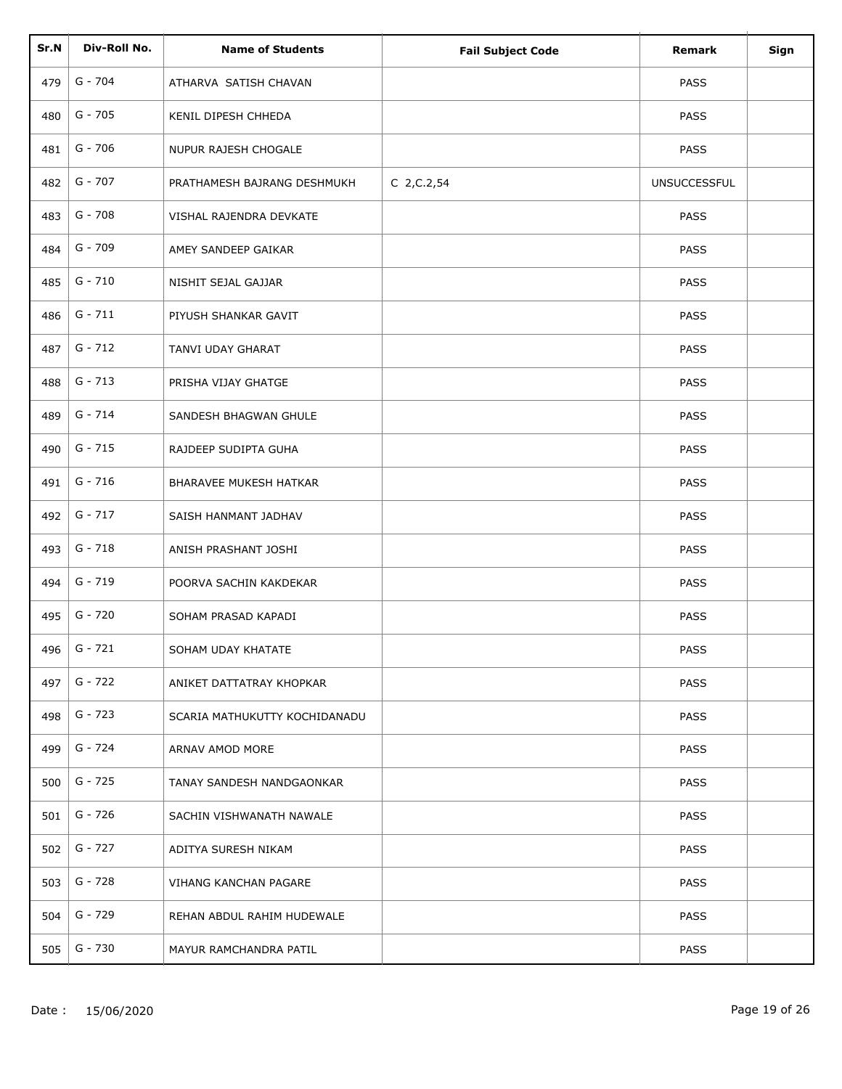| Sr.N | Div-Roll No. | <b>Name of Students</b>       | <b>Fail Subject Code</b> | Remark              | Sign |
|------|--------------|-------------------------------|--------------------------|---------------------|------|
| 479  | $G - 704$    | ATHARVA SATISH CHAVAN         |                          | <b>PASS</b>         |      |
| 480  | $G - 705$    | KENIL DIPESH CHHEDA           |                          | <b>PASS</b>         |      |
| 481  | $G - 706$    | NUPUR RAJESH CHOGALE          |                          | <b>PASS</b>         |      |
| 482  | $G - 707$    | PRATHAMESH BAJRANG DESHMUKH   | $C$ 2, $C$ . 2, 54       | <b>UNSUCCESSFUL</b> |      |
| 483  | $G - 708$    | VISHAL RAJENDRA DEVKATE       |                          | <b>PASS</b>         |      |
| 484  | G - 709      | AMEY SANDEEP GAIKAR           |                          | <b>PASS</b>         |      |
| 485  | $G - 710$    | NISHIT SEJAL GAJJAR           |                          | <b>PASS</b>         |      |
| 486  | $G - 711$    | PIYUSH SHANKAR GAVIT          |                          | <b>PASS</b>         |      |
| 487  | $G - 712$    | TANVI UDAY GHARAT             |                          | <b>PASS</b>         |      |
| 488  | $G - 713$    | PRISHA VIJAY GHATGE           |                          | PASS                |      |
| 489  | $G - 714$    | SANDESH BHAGWAN GHULE         |                          | <b>PASS</b>         |      |
| 490  | $G - 715$    | RAJDEEP SUDIPTA GUHA          |                          | <b>PASS</b>         |      |
| 491  | $G - 716$    | <b>BHARAVEE MUKESH HATKAR</b> |                          | <b>PASS</b>         |      |
| 492  | $G - 717$    | SAISH HANMANT JADHAV          |                          | <b>PASS</b>         |      |
| 493  | $G - 718$    | ANISH PRASHANT JOSHI          |                          | PASS                |      |
| 494  | G - 719      | POORVA SACHIN KAKDEKAR        |                          | PASS                |      |
| 495  | G - 720      | SOHAM PRASAD KAPADI           |                          | PASS                |      |
| 496  | $G - 721$    | SOHAM UDAY KHATATE            |                          | PASS                |      |
| 497  | G - 722      | ANIKET DATTATRAY KHOPKAR      |                          | <b>PASS</b>         |      |
| 498  | G - 723      | SCARIA MATHUKUTTY KOCHIDANADU |                          | <b>PASS</b>         |      |
| 499  | G - 724      | ARNAV AMOD MORE               |                          | <b>PASS</b>         |      |
| 500  | $G - 725$    | TANAY SANDESH NANDGAONKAR     |                          | <b>PASS</b>         |      |
| 501  | G - 726      | SACHIN VISHWANATH NAWALE      |                          | <b>PASS</b>         |      |
| 502  | $G - 727$    | ADITYA SURESH NIKAM           |                          | <b>PASS</b>         |      |
| 503  | G - 728      | VIHANG KANCHAN PAGARE         |                          | <b>PASS</b>         |      |
| 504  | G - 729      | REHAN ABDUL RAHIM HUDEWALE    |                          | <b>PASS</b>         |      |
| 505  | G - 730      | MAYUR RAMCHANDRA PATIL        |                          | <b>PASS</b>         |      |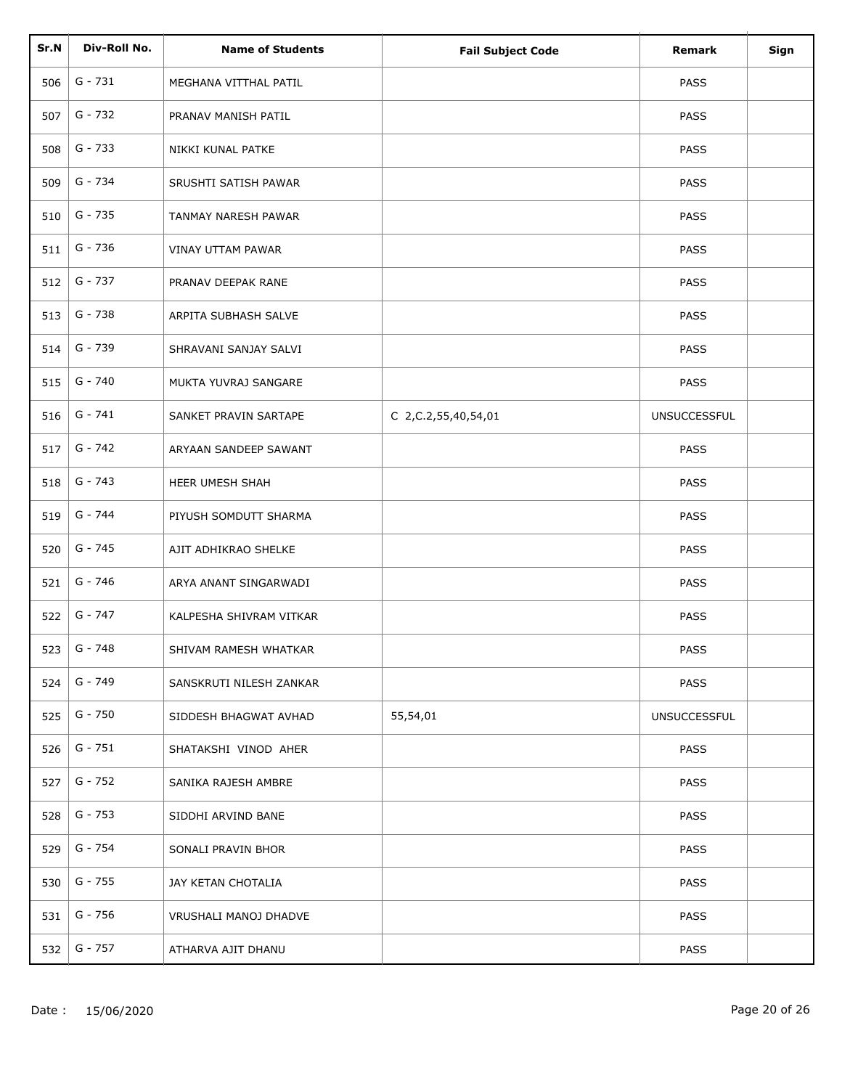| Sr.N | Div-Roll No. | <b>Name of Students</b>  | <b>Fail Subject Code</b> | <b>Remark</b>       | Sign |
|------|--------------|--------------------------|--------------------------|---------------------|------|
| 506  | $G - 731$    | MEGHANA VITTHAL PATIL    |                          | <b>PASS</b>         |      |
|      |              |                          |                          |                     |      |
| 507  | $G - 732$    | PRANAV MANISH PATIL      |                          | <b>PASS</b>         |      |
| 508  | $G - 733$    | NIKKI KUNAL PATKE        |                          | <b>PASS</b>         |      |
| 509  | G - 734      | SRUSHTI SATISH PAWAR     |                          | <b>PASS</b>         |      |
| 510  | $G - 735$    | TANMAY NARESH PAWAR      |                          | <b>PASS</b>         |      |
| 511  | G - 736      | <b>VINAY UTTAM PAWAR</b> |                          | <b>PASS</b>         |      |
| 512  | G - 737      | PRANAV DEEPAK RANE       |                          | <b>PASS</b>         |      |
| 513  | G - 738      | ARPITA SUBHASH SALVE     |                          | <b>PASS</b>         |      |
| 514  | G - 739      | SHRAVANI SANJAY SALVI    |                          | <b>PASS</b>         |      |
| 515  | G - 740      | MUKTA YUVRAJ SANGARE     |                          | PASS                |      |
| 516  | $G - 741$    | SANKET PRAVIN SARTAPE    | C 2, C.2, 55, 40, 54, 01 | <b>UNSUCCESSFUL</b> |      |
| 517  | $G - 742$    | ARYAAN SANDEEP SAWANT    |                          | <b>PASS</b>         |      |
| 518  | $G - 743$    | HEER UMESH SHAH          |                          | <b>PASS</b>         |      |
| 519  | G - 744      | PIYUSH SOMDUTT SHARMA    |                          | <b>PASS</b>         |      |
| 520  | G - 745      | AJIT ADHIKRAO SHELKE     |                          | PASS                |      |
| 521  | G - 746      | ARYA ANANT SINGARWADI    |                          | PASS                |      |
| 522  | G - 747      | KALPESHA SHIVRAM VITKAR  |                          | PASS                |      |
| 523  | G - 748      | SHIVAM RAMESH WHATKAR    |                          | PASS                |      |
| 524  | G - 749      | SANSKRUTI NILESH ZANKAR  |                          | <b>PASS</b>         |      |
| 525  | $G - 750$    | SIDDESH BHAGWAT AVHAD    | 55,54,01                 | <b>UNSUCCESSFUL</b> |      |
| 526  | G - 751      | SHATAKSHI VINOD AHER     |                          | <b>PASS</b>         |      |
| 527  | G - 752      | SANIKA RAJESH AMBRE      |                          | <b>PASS</b>         |      |
| 528  | G - 753      | SIDDHI ARVIND BANE       |                          | <b>PASS</b>         |      |
| 529  | G - 754      | SONALI PRAVIN BHOR       |                          | <b>PASS</b>         |      |
| 530  | G - 755      | JAY KETAN CHOTALIA       |                          | <b>PASS</b>         |      |
| 531  | G - 756      | VRUSHALI MANOJ DHADVE    |                          | <b>PASS</b>         |      |
| 532  | G - 757      | ATHARVA AJIT DHANU       |                          | <b>PASS</b>         |      |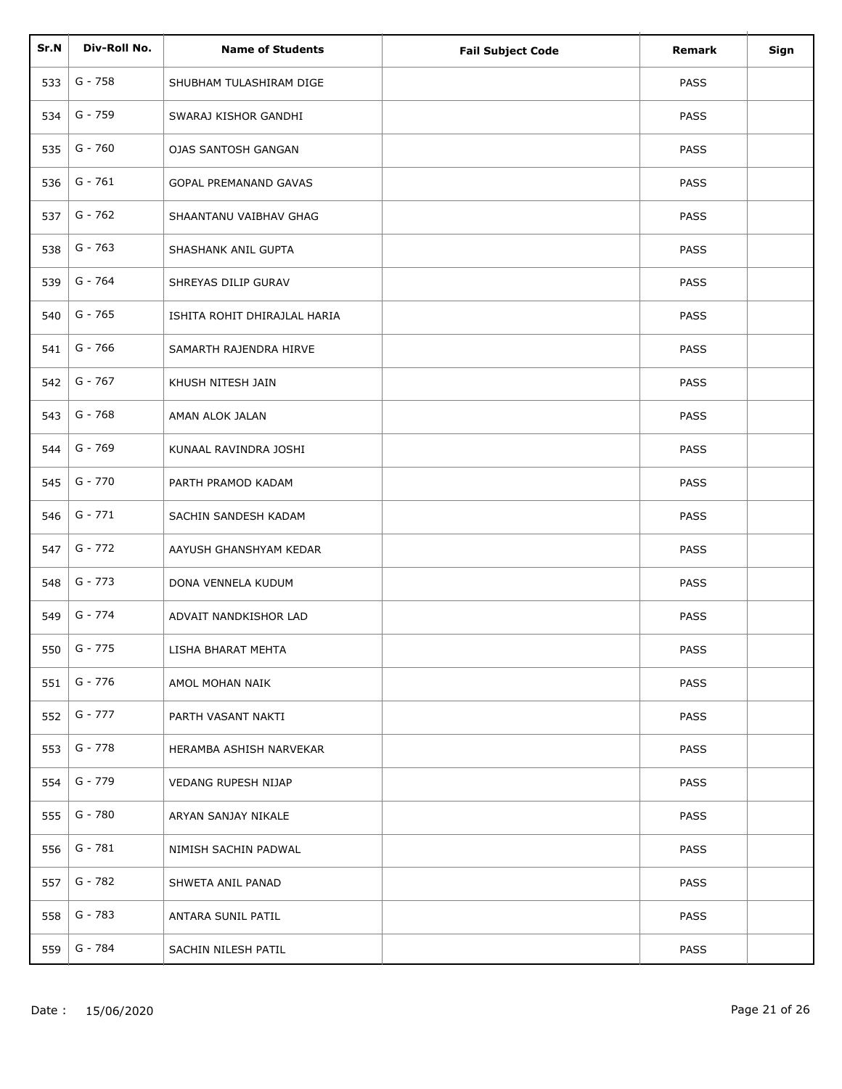| Sr.N | Div-Roll No. | <b>Name of Students</b>      | <b>Fail Subject Code</b> | <b>Remark</b> | Sign |
|------|--------------|------------------------------|--------------------------|---------------|------|
| 533  | $G - 758$    | SHUBHAM TULASHIRAM DIGE      |                          | <b>PASS</b>   |      |
| 534  | G - 759      | SWARAJ KISHOR GANDHI         |                          | <b>PASS</b>   |      |
| 535  | $G - 760$    | OJAS SANTOSH GANGAN          |                          | PASS          |      |
| 536  | $G - 761$    | GOPAL PREMANAND GAVAS        |                          | PASS          |      |
| 537  | $G - 762$    | SHAANTANU VAIBHAV GHAG       |                          | PASS          |      |
| 538  | $G - 763$    | SHASHANK ANIL GUPTA          |                          | <b>PASS</b>   |      |
| 539  | G - 764      | SHREYAS DILIP GURAV          |                          | PASS          |      |
| 540  | G - 765      | ISHITA ROHIT DHIRAJLAL HARIA |                          | PASS          |      |
| 541  | G - 766      | SAMARTH RAJENDRA HIRVE       |                          | PASS          |      |
| 542  | G - 767      | KHUSH NITESH JAIN            |                          | PASS          |      |
| 543  | G - 768      | AMAN ALOK JALAN              |                          | <b>PASS</b>   |      |
| 544  | G - 769      | KUNAAL RAVINDRA JOSHI        |                          | PASS          |      |
| 545  | G - 770      | PARTH PRAMOD KADAM           |                          | <b>PASS</b>   |      |
| 546  | $G - 771$    | SACHIN SANDESH KADAM         |                          | PASS          |      |
| 547  | G - 772      | AAYUSH GHANSHYAM KEDAR       |                          | PASS          |      |
| 548  | G - 773      | DONA VENNELA KUDUM           |                          | PASS          |      |
| 549  | $G - 774$    | ADVAIT NANDKISHOR LAD        |                          | PASS          |      |
| 550  | $G - 775$    | LISHA BHARAT MEHTA           |                          | PASS          |      |
| 551  | G - 776      | AMOL MOHAN NAIK              |                          | <b>PASS</b>   |      |
| 552  | G - 777      | PARTH VASANT NAKTI           |                          | <b>PASS</b>   |      |
| 553  | $G - 778$    | HERAMBA ASHISH NARVEKAR      |                          | <b>PASS</b>   |      |
| 554  | G - 779      | VEDANG RUPESH NIJAP          |                          | <b>PASS</b>   |      |
| 555  | G - 780      | ARYAN SANJAY NIKALE          |                          | PASS          |      |
| 556  | G - 781      | NIMISH SACHIN PADWAL         |                          | <b>PASS</b>   |      |
| 557  | G - 782      | SHWETA ANIL PANAD            |                          | <b>PASS</b>   |      |
| 558  | G - 783      | ANTARA SUNIL PATIL           |                          | <b>PASS</b>   |      |
| 559  | G - 784      | SACHIN NILESH PATIL          |                          | PASS          |      |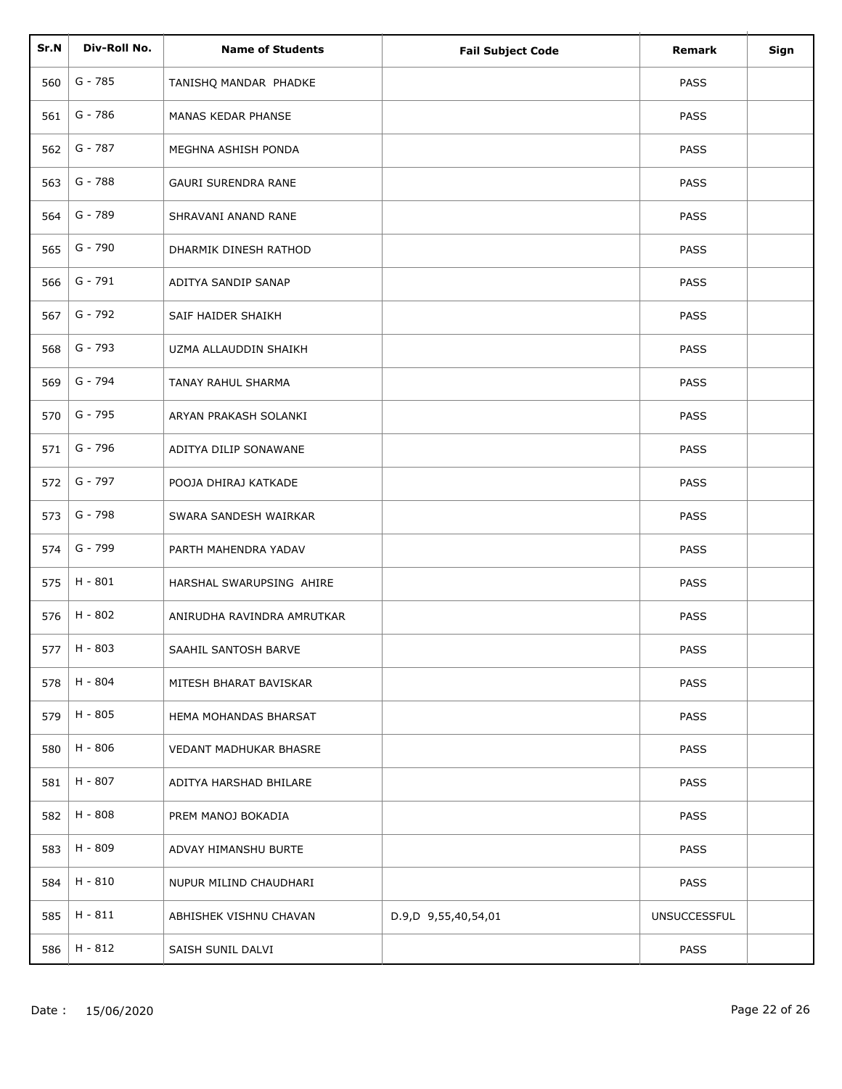| Sr.N | Div-Roll No. | <b>Name of Students</b>    | <b>Fail Subject Code</b> | <b>Remark</b>       | Sign |
|------|--------------|----------------------------|--------------------------|---------------------|------|
| 560  | G - 785      | TANISHQ MANDAR PHADKE      |                          | <b>PASS</b>         |      |
| 561  | G - 786      | MANAS KEDAR PHANSE         |                          | <b>PASS</b>         |      |
| 562  | G - 787      | MEGHNA ASHISH PONDA        |                          | <b>PASS</b>         |      |
| 563  | G - 788      | <b>GAURI SURENDRA RANE</b> |                          | <b>PASS</b>         |      |
| 564  | G - 789      | SHRAVANI ANAND RANE        |                          | <b>PASS</b>         |      |
| 565  | G - 790      | DHARMIK DINESH RATHOD      |                          | <b>PASS</b>         |      |
| 566  | $G - 791$    | ADITYA SANDIP SANAP        |                          | <b>PASS</b>         |      |
| 567  | G - 792      | SAIF HAIDER SHAIKH         |                          | PASS                |      |
| 568  | G - 793      | UZMA ALLAUDDIN SHAIKH      |                          | <b>PASS</b>         |      |
| 569  | G - 794      | TANAY RAHUL SHARMA         |                          | PASS                |      |
| 570  | G - 795      | ARYAN PRAKASH SOLANKI      |                          | <b>PASS</b>         |      |
| 571  | G - 796      | ADITYA DILIP SONAWANE      |                          | <b>PASS</b>         |      |
| 572  | G - 797      | POOJA DHIRAJ KATKADE       |                          | <b>PASS</b>         |      |
| 573  | G - 798      | SWARA SANDESH WAIRKAR      |                          | PASS                |      |
| 574  | G - 799      | PARTH MAHENDRA YADAV       |                          | PASS                |      |
| 575  | H - 801      | HARSHAL SWARUPSING AHIRE   |                          | PASS                |      |
| 576  | $H - 802$    | ANIRUDHA RAVINDRA AMRUTKAR |                          | PASS                |      |
| 577  | H - 803      | SAAHIL SANTOSH BARVE       |                          | PASS                |      |
| 578  | H - 804      | MITESH BHARAT BAVISKAR     |                          | <b>PASS</b>         |      |
| 579  | H - 805      | HEMA MOHANDAS BHARSAT      |                          | <b>PASS</b>         |      |
| 580  | H - 806      | VEDANT MADHUKAR BHASRE     |                          | <b>PASS</b>         |      |
| 581  | H - 807      | ADITYA HARSHAD BHILARE     |                          | <b>PASS</b>         |      |
| 582  | H - 808      | PREM MANOJ BOKADIA         |                          | <b>PASS</b>         |      |
| 583  | H - 809      | ADVAY HIMANSHU BURTE       |                          | <b>PASS</b>         |      |
| 584  | H - 810      | NUPUR MILIND CHAUDHARI     |                          | <b>PASS</b>         |      |
| 585  | $H - 811$    | ABHISHEK VISHNU CHAVAN     | D.9,D 9,55,40,54,01      | <b>UNSUCCESSFUL</b> |      |
| 586  | H - 812      | SAISH SUNIL DALVI          |                          | <b>PASS</b>         |      |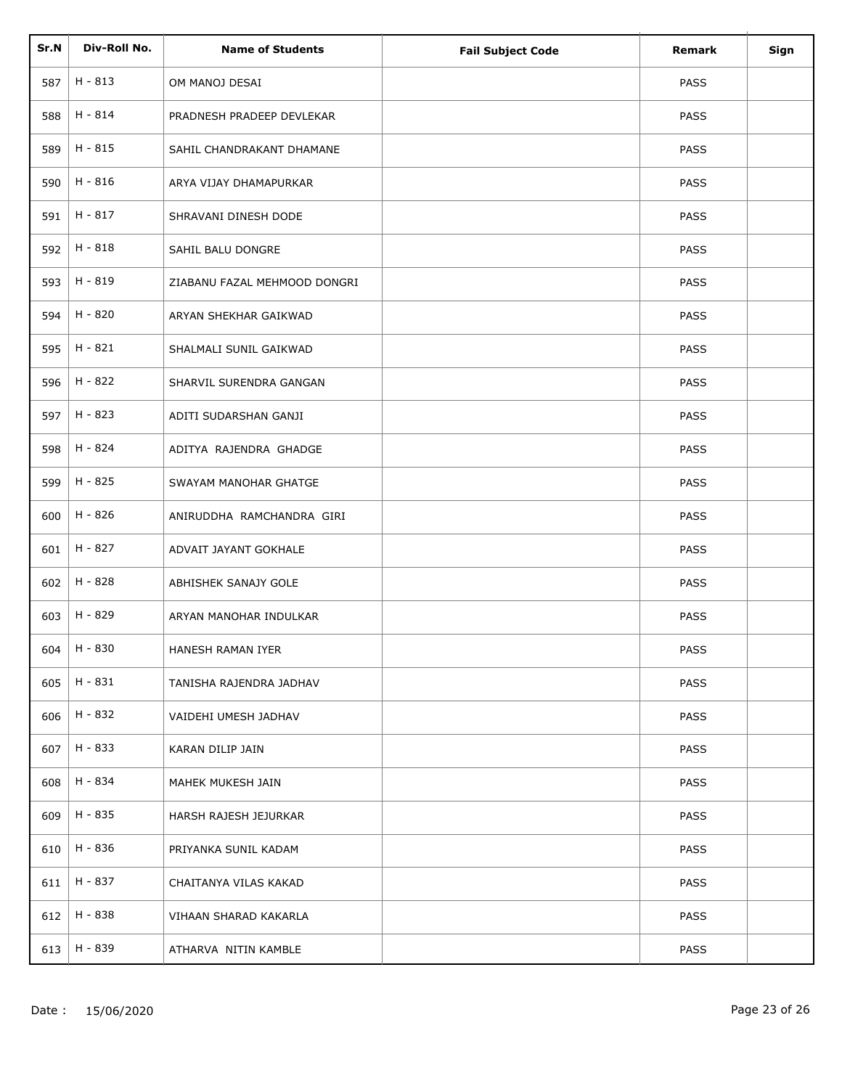| Sr.N | Div-Roll No. | <b>Name of Students</b>      | <b>Fail Subject Code</b> | Remark      | Sign |
|------|--------------|------------------------------|--------------------------|-------------|------|
| 587  | $H - 813$    | OM MANOJ DESAI               |                          | <b>PASS</b> |      |
| 588  | H - 814      | PRADNESH PRADEEP DEVLEKAR    |                          | <b>PASS</b> |      |
| 589  | H - 815      | SAHIL CHANDRAKANT DHAMANE    |                          | <b>PASS</b> |      |
| 590  | H - 816      | ARYA VIJAY DHAMAPURKAR       |                          | <b>PASS</b> |      |
| 591  | H - 817      | SHRAVANI DINESH DODE         |                          | <b>PASS</b> |      |
|      | $H - 818$    |                              |                          |             |      |
| 592  |              | SAHIL BALU DONGRE            |                          | <b>PASS</b> |      |
| 593  | H - 819      | ZIABANU FAZAL MEHMOOD DONGRI |                          | PASS        |      |
| 594  | H - 820      | ARYAN SHEKHAR GAIKWAD        |                          | PASS        |      |
| 595  | H - 821      | SHALMALI SUNIL GAIKWAD       |                          | PASS        |      |
| 596  | H - 822      | SHARVIL SURENDRA GANGAN      |                          | PASS        |      |
| 597  | H - 823      | ADITI SUDARSHAN GANJI        |                          | <b>PASS</b> |      |
| 598  | H - 824      | ADITYA RAJENDRA GHADGE       |                          | PASS        |      |
| 599  | H - 825      | SWAYAM MANOHAR GHATGE        |                          | <b>PASS</b> |      |
| 600  | H - 826      | ANIRUDDHA RAMCHANDRA GIRI    |                          | PASS        |      |
| 601  | H - 827      | ADVAIT JAYANT GOKHALE        |                          | PASS        |      |
| 602  | H - 828      | ABHISHEK SANAJY GOLE         |                          | PASS        |      |
| 603  | H - 829      | ARYAN MANOHAR INDULKAR       |                          | PASS        |      |
| 604  | H - 830      | HANESH RAMAN IYER            |                          | PASS        |      |
| 605  | H - 831      | TANISHA RAJENDRA JADHAV      |                          | <b>PASS</b> |      |
| 606  | H - 832      | VAIDEHI UMESH JADHAV         |                          | <b>PASS</b> |      |
| 607  | H - 833      | KARAN DILIP JAIN             |                          | <b>PASS</b> |      |
| 608  | H - 834      | MAHEK MUKESH JAIN            |                          | <b>PASS</b> |      |
| 609  | H - 835      | HARSH RAJESH JEJURKAR        |                          | <b>PASS</b> |      |
| 610  | H - 836      | PRIYANKA SUNIL KADAM         |                          | PASS        |      |
| 611  | H - 837      | CHAITANYA VILAS KAKAD        |                          | <b>PASS</b> |      |
| 612  | H - 838      | VIHAAN SHARAD KAKARLA        |                          | <b>PASS</b> |      |
| 613  | H - 839      | ATHARVA NITIN KAMBLE         |                          | PASS        |      |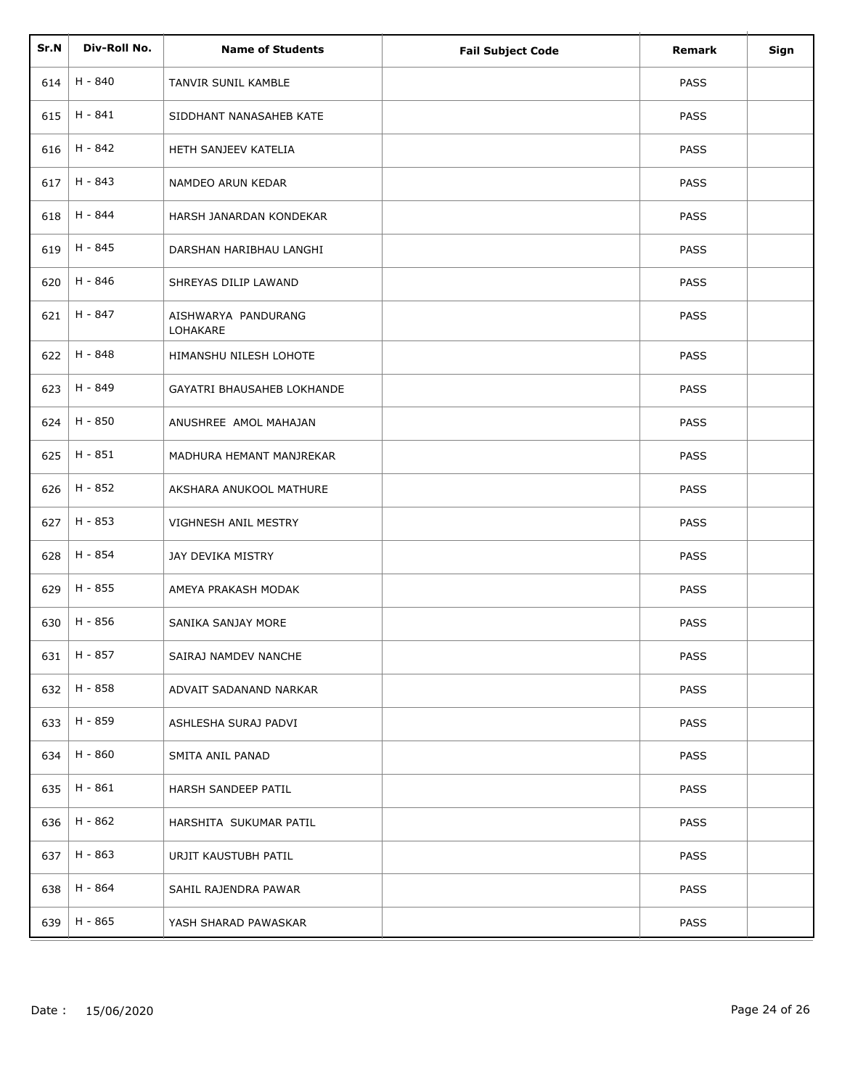| Sr.N | Div-Roll No. | <b>Name of Students</b>           | <b>Fail Subject Code</b> | Remark      | Sign |
|------|--------------|-----------------------------------|--------------------------|-------------|------|
| 614  | H - 840      | TANVIR SUNIL KAMBLE               |                          | PASS        |      |
| 615  | $H - 841$    | SIDDHANT NANASAHEB KATE           |                          | <b>PASS</b> |      |
| 616  | H - 842      | HETH SANJEEV KATELIA              |                          | <b>PASS</b> |      |
| 617  | H - 843      | NAMDEO ARUN KEDAR                 |                          | <b>PASS</b> |      |
| 618  | H - 844      | HARSH JANARDAN KONDEKAR           |                          | <b>PASS</b> |      |
| 619  | H - 845      | DARSHAN HARIBHAU LANGHI           |                          | <b>PASS</b> |      |
| 620  | H - 846      | SHREYAS DILIP LAWAND              |                          | PASS        |      |
| 621  | H - 847      | AISHWARYA PANDURANG<br>LOHAKARE   |                          | <b>PASS</b> |      |
| 622  | H - 848      | HIMANSHU NILESH LOHOTE            |                          | <b>PASS</b> |      |
| 623  | H - 849      | <b>GAYATRI BHAUSAHEB LOKHANDE</b> |                          | <b>PASS</b> |      |
| 624  | H - 850      | ANUSHREE AMOL MAHAJAN             |                          | <b>PASS</b> |      |
| 625  | H - 851      | MADHURA HEMANT MANJREKAR          |                          | <b>PASS</b> |      |
| 626  | H - 852      | AKSHARA ANUKOOL MATHURE           |                          | <b>PASS</b> |      |
| 627  | H - 853      | VIGHNESH ANIL MESTRY              |                          | <b>PASS</b> |      |
| 628  | H - 854      | JAY DEVIKA MISTRY                 |                          | <b>PASS</b> |      |
| 629  | H - 855      | AMEYA PRAKASH MODAK               |                          | PASS        |      |
| 630  | H - 856      | SANIKA SANJAY MORE                |                          | PASS        |      |
| 631  | H - 857      | SAIRAJ NAMDEV NANCHE              |                          | PASS        |      |
| 632  | H - 858      | ADVAIT SADANAND NARKAR            |                          | PASS        |      |
| 633  | H - 859      | ASHLESHA SURAJ PADVI              |                          | <b>PASS</b> |      |
| 634  | H - 860      | SMITA ANIL PANAD                  |                          | PASS        |      |
| 635  | H - 861      | HARSH SANDEEP PATIL               |                          | PASS        |      |
| 636  | H - 862      | HARSHITA SUKUMAR PATIL            |                          | PASS        |      |
| 637  | H - 863      | URJIT KAUSTUBH PATIL              |                          | PASS        |      |
| 638  | H - 864      | SAHIL RAJENDRA PAWAR              |                          | <b>PASS</b> |      |
| 639  | H - 865      | YASH SHARAD PAWASKAR              |                          | <b>PASS</b> |      |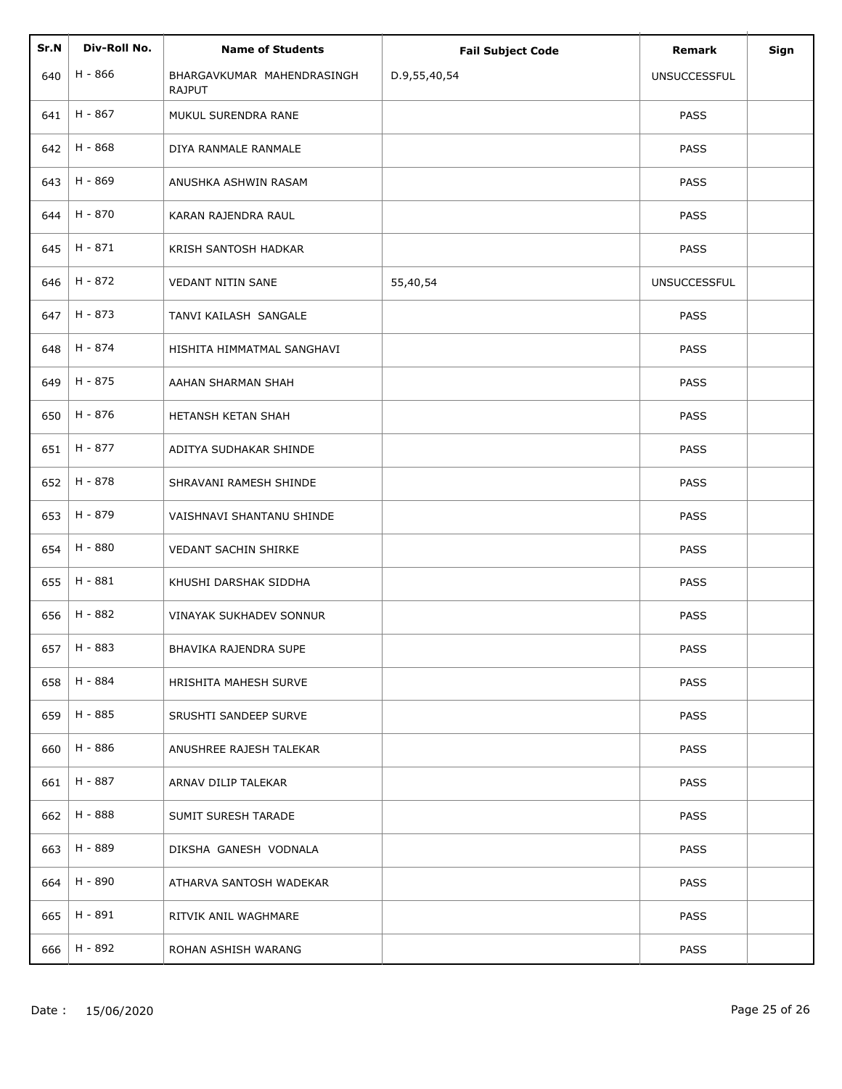| Sr.N | Div-Roll No. | <b>Name of Students</b>                     | <b>Fail Subject Code</b> | <b>Remark</b>       | Sign |
|------|--------------|---------------------------------------------|--------------------------|---------------------|------|
| 640  | H - 866      | BHARGAVKUMAR MAHENDRASINGH<br><b>RAJPUT</b> | D.9,55,40,54             | <b>UNSUCCESSFUL</b> |      |
| 641  | H - 867      | MUKUL SURENDRA RANE                         |                          | <b>PASS</b>         |      |
| 642  | H - 868      | DIYA RANMALE RANMALE                        |                          | <b>PASS</b>         |      |
| 643  | H - 869      | ANUSHKA ASHWIN RASAM                        |                          | <b>PASS</b>         |      |
| 644  | H - 870      | KARAN RAJENDRA RAUL                         |                          | <b>PASS</b>         |      |
| 645  | H - 871      | KRISH SANTOSH HADKAR                        |                          | <b>PASS</b>         |      |
| 646  | H - 872      | VEDANT NITIN SANE                           | 55,40,54                 | <b>UNSUCCESSFUL</b> |      |
| 647  | H - 873      | TANVI KAILASH SANGALE                       |                          | <b>PASS</b>         |      |
| 648  | H - 874      | HISHITA HIMMATMAL SANGHAVI                  |                          | <b>PASS</b>         |      |
| 649  | H - 875      | AAHAN SHARMAN SHAH                          |                          | PASS                |      |
| 650  | H - 876      | HETANSH KETAN SHAH                          |                          | <b>PASS</b>         |      |
| 651  | H - 877      | ADITYA SUDHAKAR SHINDE                      |                          | <b>PASS</b>         |      |
| 652  | H - 878      | SHRAVANI RAMESH SHINDE                      |                          | <b>PASS</b>         |      |
| 653  | H - 879      | VAISHNAVI SHANTANU SHINDE                   |                          | <b>PASS</b>         |      |
| 654  | H - 880      | VEDANT SACHIN SHIRKE                        |                          | <b>PASS</b>         |      |
| 655  | H - 881      | KHUSHI DARSHAK SIDDHA                       |                          | <b>PASS</b>         |      |
| 656  | H - 882      | <b>VINAYAK SUKHADEV SONNUR</b>              |                          | PASS                |      |
| 657  | H - 883      | BHAVIKA RAJENDRA SUPE                       |                          | PASS                |      |
| 658  | H - 884      | HRISHITA MAHESH SURVE                       |                          | <b>PASS</b>         |      |
| 659  | H - 885      | SRUSHTI SANDEEP SURVE                       |                          | <b>PASS</b>         |      |
| 660  | H - 886      | ANUSHREE RAJESH TALEKAR                     |                          | <b>PASS</b>         |      |
| 661  | H - 887      | ARNAV DILIP TALEKAR                         |                          | <b>PASS</b>         |      |
| 662  | H - 888      | SUMIT SURESH TARADE                         |                          | <b>PASS</b>         |      |
| 663  | H - 889      | DIKSHA GANESH VODNALA                       |                          | PASS                |      |
| 664  | H - 890      | ATHARVA SANTOSH WADEKAR                     |                          | <b>PASS</b>         |      |
| 665  | H - 891      | RITVIK ANIL WAGHMARE                        |                          | <b>PASS</b>         |      |
| 666  | H - 892      | ROHAN ASHISH WARANG                         |                          | <b>PASS</b>         |      |